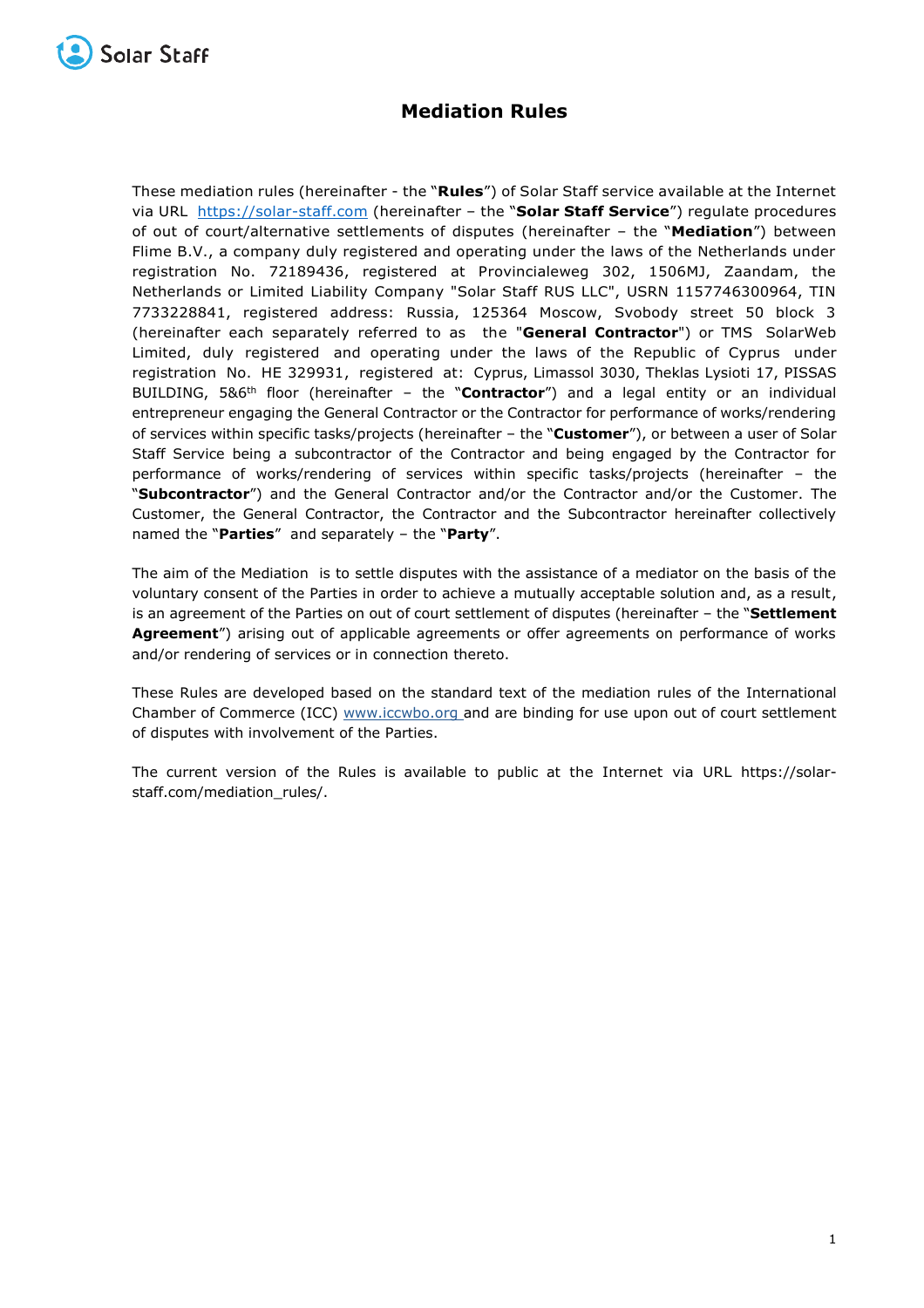

## **Mediation Rules**

These mediation rules (hereinafter - the "**Rules**") of Solar Staff service available at the Internet via URL [https://solar-staff.com](https://solar-staff.com/) (hereinafter – the "**Solar Staff Service**") regulate procedures of out of court/alternative settlements of disputes (hereinafter – the "**Mediation**") between Flime B.V., a company duly registered and operating under the laws of the Netherlands under registration No. 72189436, registered at Provincialeweg 302, 1506MJ, Zaandam, the Netherlands or Limited Liability Company "Solar Staff RUS LLC", USRN 1157746300964, TIN 7733228841, registered address: Russia, 125364 Moscow, Svobody street 50 block 3 (hereinafter each separately referred to as the "**General Contractor**") or TMS SolarWeb Limited, duly registered and operating under the laws of the Republic of Cyprus under registration No. HE 329931, registered at: Cyprus, Limassol 3030, Theklas Lysioti 17, PISSAS BUILDING, 5&6<sup>th</sup> floor (hereinafter - the "Contractor") and a legal entity or an individual entrepreneur engaging the General Contractor or the Contractor for performance of works/rendering of services within specific tasks/projects (hereinafter – the "**Customer**"), or between a user of Solar Staff Service being a subcontractor of the Contractor and being engaged by the Contractor for performance of works/rendering of services within specific tasks/projects (hereinafter – the "**Subcontractor**") and the General Contractor and/or the Contractor and/or the Customer. The Customer, the General Contractor, the Contractor and the Subcontractor hereinafter collectively named the "**Parties**" and separately – the "**Party**".

The aim of the Mediation is to settle disputes with the assistance of a mediator on the basis of the voluntary consent of the Parties in order to achieve a mutually acceptable solution and, as a result, is an agreement of the Parties on out of court settlement of disputes (hereinafter – the "**Settlement Agreement**") arising out of applicable agreements or offer agreements on performance of works and/or rendering of services or in connection thereto.

These Rules are developed based on the standard text of the mediation rules of the International Chamber of Commerce (ICC) [www.iccwbo.org](https://www.iccwbo.org/) and are binding for use upon out of court settlement of disputes with involvement of the Parties.

The current version of the Rules is available to public at the Internet via URL https://solarstaff.com/mediation\_rules/.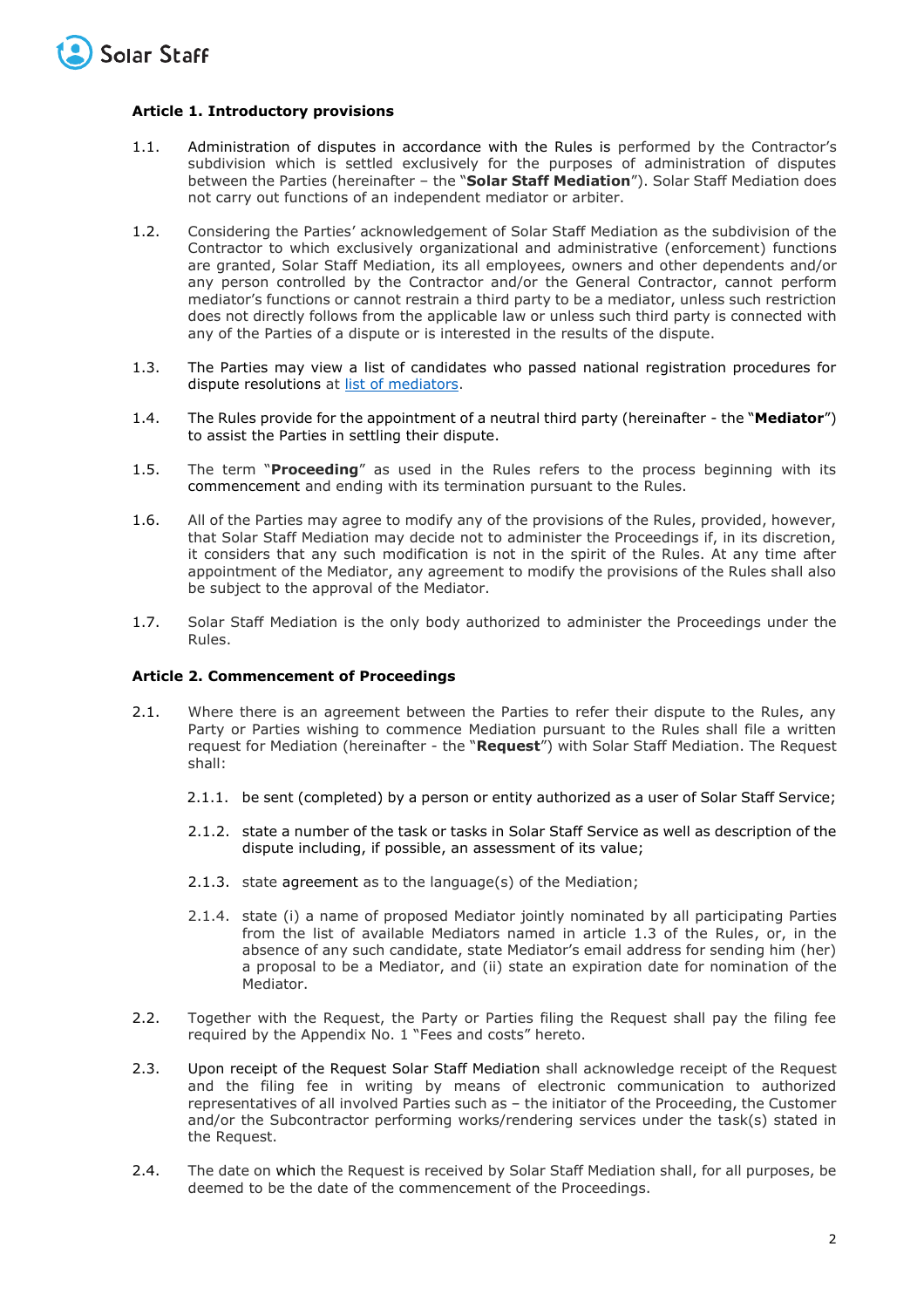

## **Article 1. Introductory provisions**

- 1.1. Administration of disputes in accordance with the Rules is performed by the Contractor's subdivision which is settled exclusively for the purposes of administration of disputes between the Parties (hereinafter – the "**Solar Staff Mediation**"). Solar Staff Mediation does not carry out functions of an independent mediator or arbiter.
- 1.2. Considering the Parties' acknowledgement of Solar Staff Mediation as the subdivision of the Contractor to which exclusively organizational and administrative (enforcement) functions are granted, Solar Staff Mediation, its all employees, owners and other dependents and/or any person controlled by the Contractor and/or the General Contractor, cannot perform mediator's functions or cannot restrain a third party to be a mediator, unless such restriction does not directly follows from the applicable law or unless such third party is connected with any of the Parties of a dispute or is interested in the results of the dispute.
- 1.3. The Parties may view a list of candidates who passed national registration procedures for dispute resolutions at [list of mediators.](http://help.solar-staff.com/ru/articles/5179051-list-of-mediators)
- 1.4. The Rules provide for the appointment of a neutral third party (hereinafter the "**Mediator**") to assist the Parties in settling their dispute.
- 1.5. The term "**Proceeding**" as used in the Rules refers to the process beginning with its commencement and ending with its termination pursuant to the Rules.
- 1.6. All of the Parties may agree to modify any of the provisions of the Rules, provided, however, that Solar Staff Mediation may decide not to administer the Proceedings if, in its discretion, it considers that any such modification is not in the spirit of the Rules. At any time after appointment of the Mediator, any agreement to modify the provisions of the Rules shall also be subject to the approval of the Mediator.
- 1.7. Solar Staff Mediation is the only body authorized to administer the Proceedings under the Rules.

## **Article 2. Commencement of Proceedings**

- 2.1. Where there is an agreement between the Parties to refer their dispute to the Rules, any Party or Parties wishing to commence Mediation pursuant to the Rules shall file a written request for Mediation (hereinafter - the "**Request**") with Solar Staff Mediation. The Request shall:
	- 2.1.1. be sent (completed) by a person or entity authorized as a user of Solar Staff Service;
	- 2.1.2. state a number of the task or tasks in Solar Staff Service as well as description of the dispute including, if possible, an assessment of its value;
	- 2.1.3. state agreement as to the language(s) of the Mediation;
	- 2.1.4. state (i) a name of proposed Mediator jointly nominated by all participating Parties from the list of available Mediators named in article 1.3 of the Rules, or, in the absence of any such candidate, state Mediator's email address for sending him (her) a proposal to be a Mediator, and (ii) state an expiration date for nomination of the Mediator.
- 2.2. Together with the Request, the Party or Parties filing the Request shall pay the filing fee required by the Appendix No. 1 "Fees and costs" hereto.
- 2.3. Upon receipt of the Request Solar Staff Mediation shall acknowledge receipt of the Request and the filing fee in writing by means of electronic communication to authorized representatives of all involved Parties such as – the initiator of the Proceeding, the Customer and/or the Subcontractor performing works/rendering services under the task(s) stated in the Request.
- 2.4. The date on which the Request is received by Solar Staff Mediation shall, for all purposes, be deemed to be the date of the commencement of the Proceedings.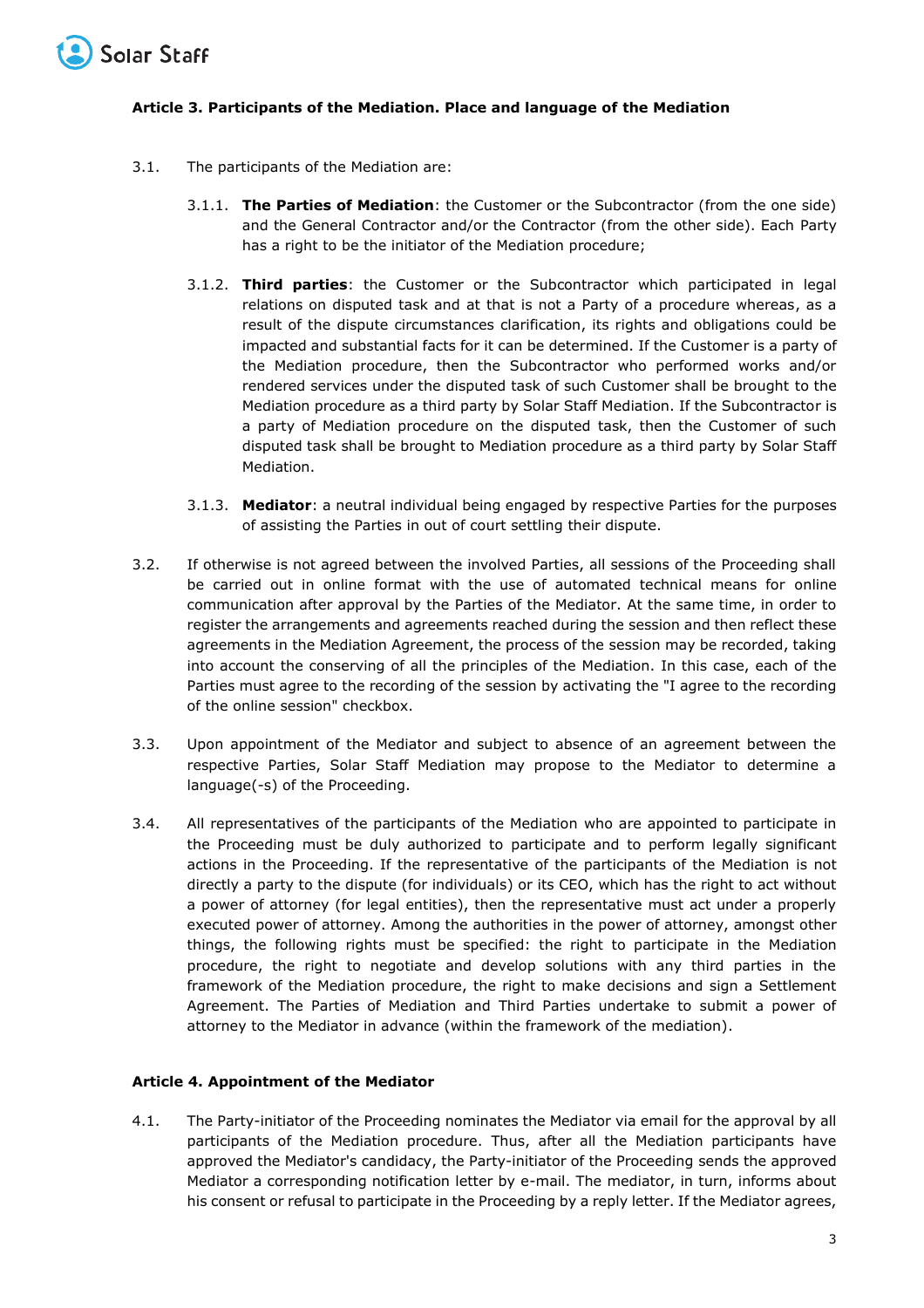

## **Article 3. Participants of the Mediation. Place and language of the Mediation**

- 3.1. The participants of the Mediation are:
	- 3.1.1. **The Parties of Mediation**: the Customer or the Subcontractor (from the one side) and the General Contractor and/or the Contractor (from the other side). Each Party has a right to be the initiator of the Mediation procedure;
	- 3.1.2. **Third parties**: the Customer or the Subcontractor which participated in legal relations on disputed task and at that is not a Party of a procedure whereas, as a result of the dispute circumstances clarification, its rights and obligations could be impacted and substantial facts for it can be determined. If the Customer is a party of the Mediation procedure, then the Subcontractor who performed works and/or rendered services under the disputed task of such Customer shall be brought to the Mediation procedure as a third party by Solar Staff Mediation. If the Subcontractor is a party of Mediation procedure on the disputed task, then the Customer of such disputed task shall be brought to Mediation procedure as a third party by Solar Staff Mediation.
	- 3.1.3. **Mediator**: a neutral individual being engaged by respective Parties for the purposes of assisting the Parties in out of court settling their dispute.
- 3.2. If otherwise is not agreed between the involved Parties, all sessions of the Proceeding shall be carried out in online format with the use of automated technical means for online communication after approval by the Parties of the Mediator. At the same time, in order to register the arrangements and agreements reached during the session and then reflect these agreements in the Mediation Agreement, the process of the session may be recorded, taking into account the conserving of all the principles of the Mediation. In this case, each of the Parties must agree to the recording of the session by activating the "I agree to the recording of the online session" checkbox.
- 3.3. Upon appointment of the Mediator and subject to absence of an agreement between the respective Parties, Solar Staff Mediation may propose to the Mediator to determine a language(-s) of the Proceeding.
- 3.4. All representatives of the participants of the Mediation who are appointed to participate in the Proceeding must be duly authorized to participate and to perform legally significant actions in the Proceeding. If the representative of the participants of the Mediation is not directly a party to the dispute (for individuals) or its CEO, which has the right to act without a power of attorney (for legal entities), then the representative must act under a properly executed power of attorney. Among the authorities in the power of attorney, amongst other things, the following rights must be specified: the right to participate in the Mediation procedure, the right to negotiate and develop solutions with any third parties in the framework of the Mediation procedure, the right to make decisions and sign a Settlement Agreement. The Parties of Mediation and Third Parties undertake to submit a power of attorney to the Mediator in advance (within the framework of the mediation).

## **Article 4. Appointment of the Mediator**

4.1. The Party-initiator of the Proceeding nominates the Mediator via email for the approval by all participants of the Mediation procedure. Thus, after all the Mediation participants have approved the Mediator's candidacy, the Party-initiator of the Proceeding sends the approved Mediator a corresponding notification letter by e-mail. The mediator, in turn, informs about his consent or refusal to participate in the Proceeding by a reply letter. If the Mediator agrees,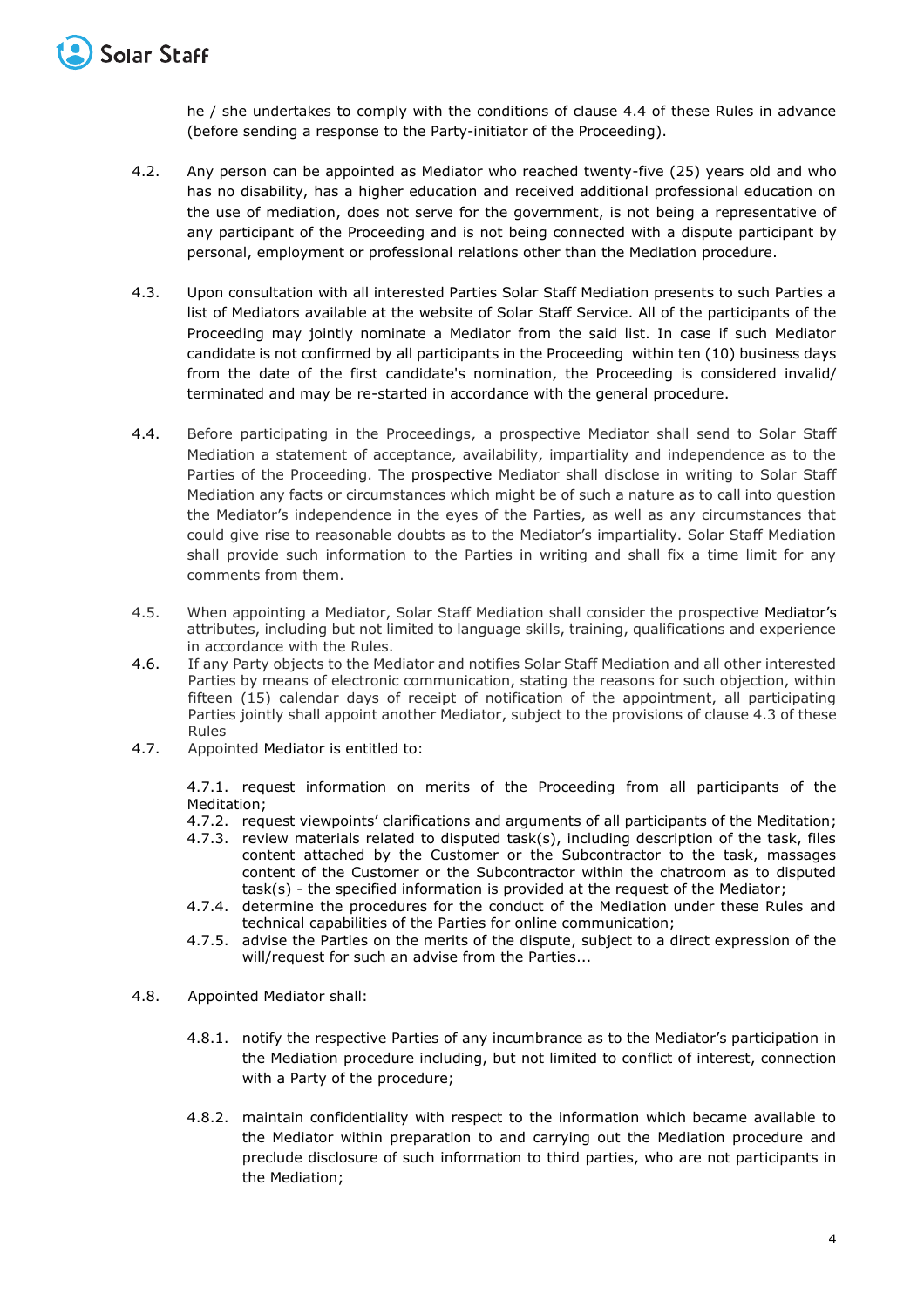he / she undertakes to comply with the conditions of clause 4.4 of these Rules in advance (before sending a response to the Party-initiator of the Proceeding).

- 4.2. Any person can be appointed as Mediator who reached twenty-five (25) years old and who has no disability, has a higher education and received additional professional education on the use of mediation, does not serve for the government, is not being a representative of any participant of the Proceeding and is not being connected with a dispute participant by personal, employment or professional relations other than the Mediation procedure.
- 4.3. Upon consultation with all interested Parties Solar Staff Mediation presents to such Parties a list of Mediators available at the website of Solar Staff Service. All of the participants of the Proceeding may jointly nominate a Mediator from the said list. In case if such Mediator candidate is not confirmed by all participants in the Proceeding within ten (10) business days from the date of the first candidate's nomination, the Proceeding is considered invalid/ terminated and may be re-started in accordance with the general procedure.
- 4.4. Before participating in the Proceedings, a prospective Mediator shall send to Solar Staff Mediation a statement of acceptance, availability, impartiality and independence as to the Parties of the Proceeding. The prospective Mediator shall disclose in writing to Solar Staff Mediation any facts or circumstances which might be of such a nature as to call into question the Mediator's independence in the eyes of the Parties, as well as any circumstances that could give rise to reasonable doubts as to the Mediator's impartiality. Solar Staff Mediation shall provide such information to the Parties in writing and shall fix a time limit for any comments from them.
- 4.5. When appointing a Mediator, Solar Staff Mediation shall consider the prospective Mediator's attributes, including but not limited to language skills, training, qualifications and experience in accordance with the Rules.
- 4.6. If any Party objects to the Mediator and notifies Solar Staff Mediation and all other interested Parties by means of electronic communication, stating the reasons for such objection, within fifteen (15) calendar days of receipt of notification of the appointment, all participating Parties jointly shall appoint another Mediator, subject to the provisions of clause 4.3 of these Rules
- 4.7. Appointed Mediator is entitled to:

4.7.1. request information on merits of the Proceeding from all participants of the Meditation;

- 4.7.2. request viewpoints' clarifications and arguments of all participants of the Meditation;
- 4.7.3. review materials related to disputed task(s), including description of the task, files content attached by the Customer or the Subcontractor to the task, massages content of the Customer or the Subcontractor within the chatroom as to disputed task(s) - the specified information is provided at the request of the Mediator;
- 4.7.4. determine the procedures for the conduct of the Mediation under these Rules and technical capabilities of the Parties for online communication;
- 4.7.5. advise the Parties on the merits of the dispute, subject to a direct expression of the will/request for such an advise from the Parties...
- 4.8. Appointed Mediator shall:
	- 4.8.1. notify the respective Parties of any incumbrance as to the Mediator's participation in the Mediation procedure including, but not limited to conflict of interest, connection with a Party of the procedure;
	- 4.8.2. maintain confidentiality with respect to the information which became available to the Mediator within preparation to and carrying out the Mediation procedure and preclude disclosure of such information to third parties, who are not participants in the Mediation;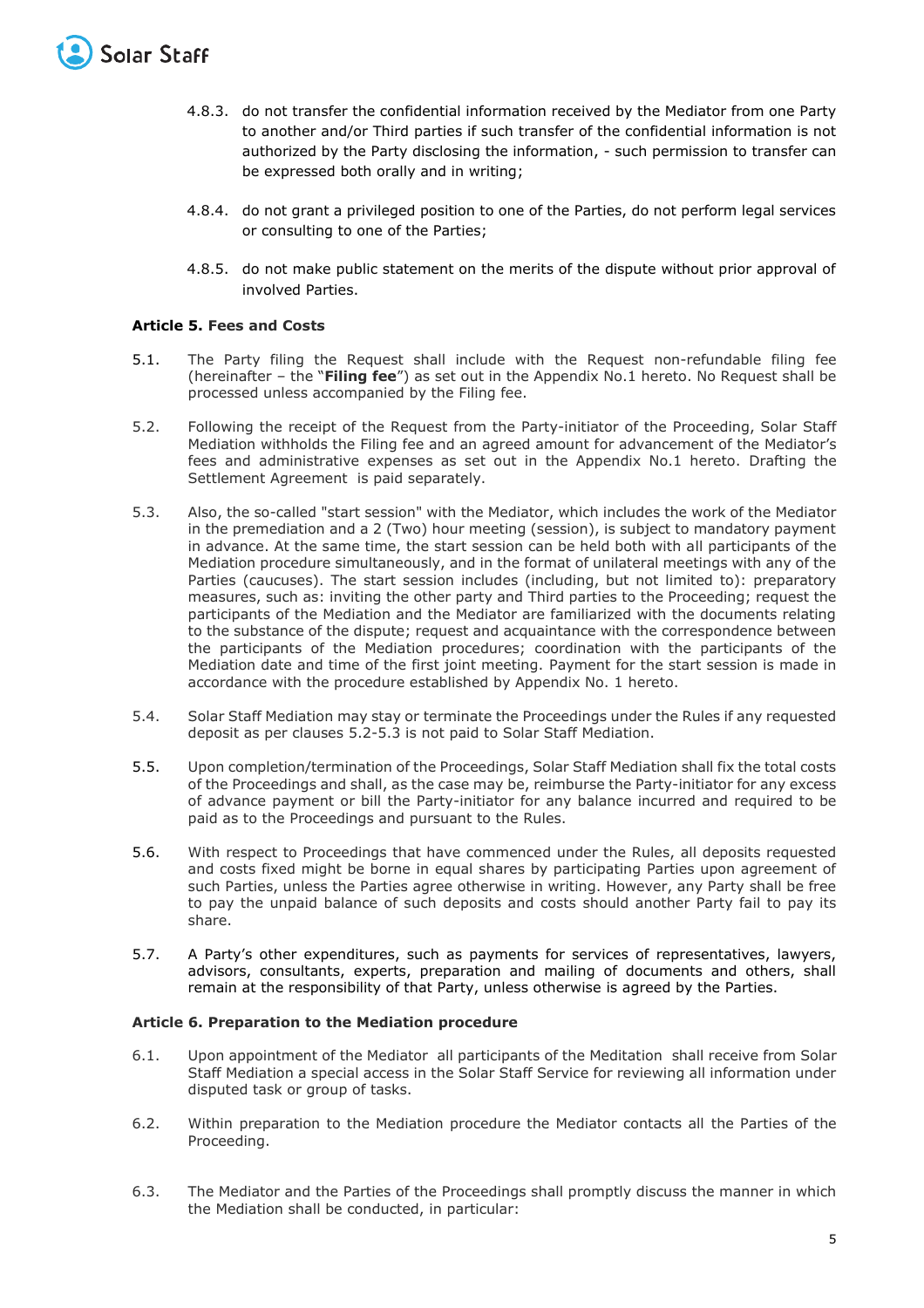

- 4.8.3. do not transfer the confidential information received by the Mediator from one Party to another and/or Third parties if such transfer of the confidential information is not authorized by the Party disclosing the information, - such permission to transfer can be expressed both orally and in writing;
- 4.8.4. do not grant a privileged position to one of the Parties, do not perform legal services or consulting to one of the Parties;
- 4.8.5. do not make public statement on the merits of the dispute without prior approval of involved Parties.

## **Article 5. Fees and Costs**

- 5.1. The Party filing the Request shall include with the Request non-refundable filing fee (hereinafter – the "**Filing fee**") as set out in the Appendix No.1 hereto. No Request shall be processed unless accompanied by the Filing fee.
- 5.2. Following the receipt of the Request from the Party-initiator of the Proceeding, Solar Staff Mediation withholds the Filing fee and an agreed amount for advancement of the Mediator's fees and administrative expenses as set out in the Appendix No.1 hereto. Drafting the Settlement Agreement is paid separately.
- 5.3. Also, the so-called "start session" with the Mediator, which includes the work of the Mediator in the premediation and a 2 (Two) hour meeting (session), is subject to mandatory payment in advance. At the same time, the start session can be held both with all participants of the Mediation procedure simultaneously, and in the format of unilateral meetings with any of the Parties (caucuses). The start session includes (including, but not limited to): preparatory measures, such as: inviting the other party and Third parties to the Proceeding; request the participants of the Mediation and the Mediator are familiarized with the documents relating to the substance of the dispute; request and acquaintance with the correspondence between the participants of the Mediation procedures; coordination with the participants of the Mediation date and time of the first joint meeting. Payment for the start session is made in accordance with the procedure established by Appendix No. 1 hereto.
- 5.4. Solar Staff Mediation may stay or terminate the Proceedings under the Rules if any requested deposit as per clauses 5.2-5.3 is not paid to Solar Staff Mediation.
- 5.5. Upon completion/termination of the Proceedings, Solar Staff Mediation shall fix the total costs of the Proceedings and shall, as the case may be, reimburse the Party-initiator for any excess of advance payment or bill the Party-initiator for any balance incurred and required to be paid as to the Proceedings and pursuant to the Rules.
- 5.6. With respect to Proceedings that have commenced under the Rules, all deposits requested and costs fixed might be borne in equal shares by participating Parties upon agreement of such Parties, unless the Parties agree otherwise in writing. However, any Party shall be free to pay the unpaid balance of such deposits and costs should another Party fail to pay its share.
- 5.7. A Party's other expenditures, such as payments for services of representatives, lawyers, advisors, consultants, experts, preparation and mailing of documents and others, shall remain at the responsibility of that Party, unless otherwise is agreed by the Parties.

## **Article 6. Preparation to the Mediation procedure**

- 6.1. Upon appointment of the Mediator all participants of the Meditation shall receive from Solar Staff Mediation a special access in the Solar Staff Service for reviewing all information under disputed task or group of tasks.
- 6.2. Within preparation to the Mediation procedure the Mediator contacts all the Parties of the Proceeding.
- 6.3. The Mediator and the Parties of the Proceedings shall promptly discuss the manner in which the Mediation shall be conducted, in particular: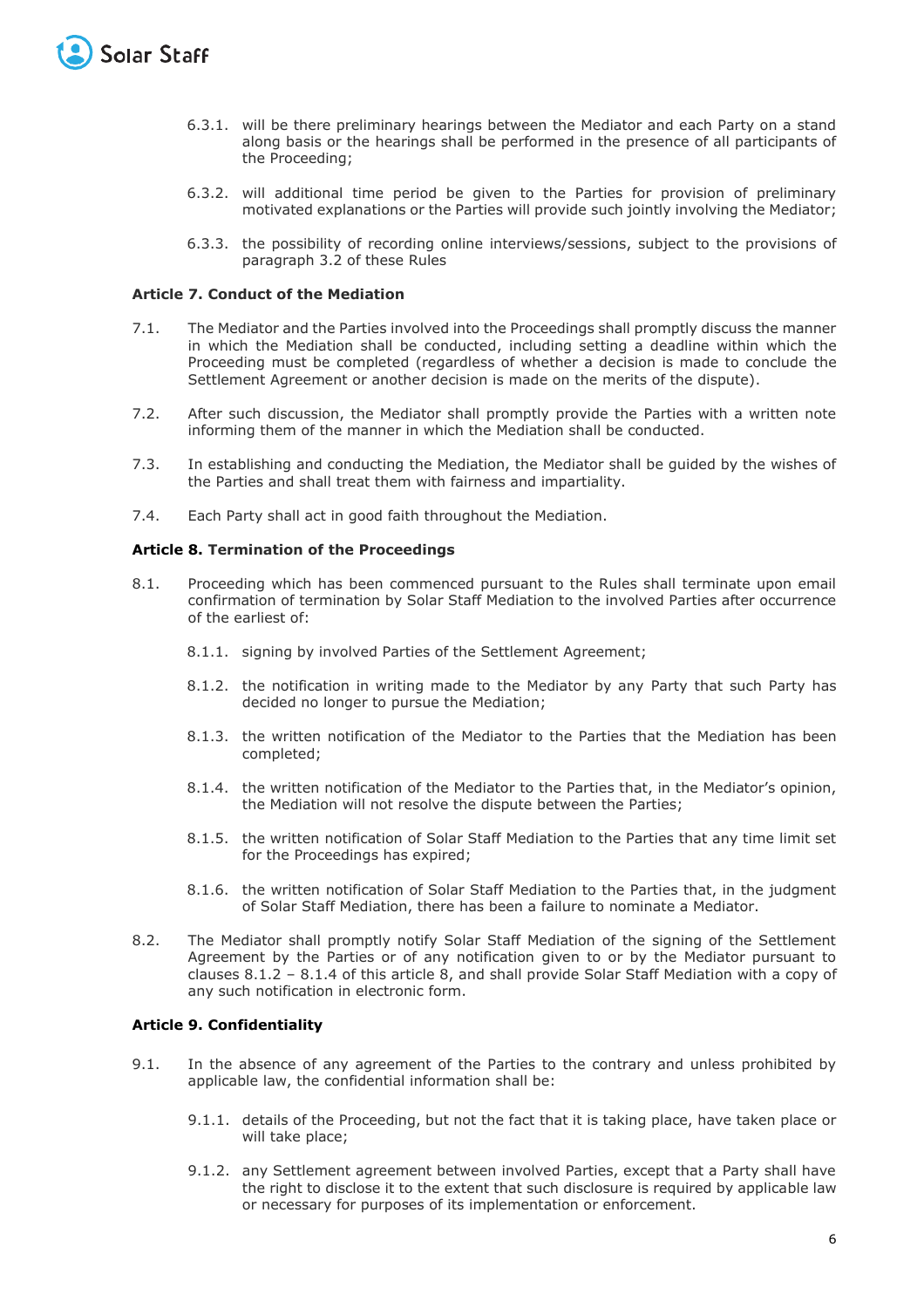

- 6.3.1. will be there preliminary hearings between the Mediator and each Party on a stand along basis or the hearings shall be performed in the presence of all participants of the Proceeding;
- 6.3.2. will additional time period be given to the Parties for provision of preliminary motivated explanations or the Parties will provide such jointly involving the Mediator;
- 6.3.3. the possibility of recording online interviews/sessions, subject to the provisions of paragraph 3.2 of these Rules

## **Article 7. Conduct of the Mediation**

- 7.1. The Mediator and the Parties involved into the Proceedings shall promptly discuss the manner in which the Mediation shall be conducted, including setting a deadline within which the Proceeding must be completed (regardless of whether a decision is made to conclude the Settlement Agreement or another decision is made on the merits of the dispute).
- 7.2. After such discussion, the Mediator shall promptly provide the Parties with a written note informing them of the manner in which the Mediation shall be conducted.
- 7.3. In establishing and conducting the Mediation, the Mediator shall be guided by the wishes of the Parties and shall treat them with fairness and impartiality.
- 7.4. Each Party shall act in good faith throughout the Mediation.

## **Article 8. Termination of the Proceedings**

- 8.1. Proceeding which has been commenced pursuant to the Rules shall terminate upon email confirmation of termination by Solar Staff Mediation to the involved Parties after occurrence of the earliest of:
	- 8.1.1. signing by involved Parties of the Settlement Agreement;
	- 8.1.2. the notification in writing made to the Mediator by any Party that such Party has decided no longer to pursue the Mediation;
	- 8.1.3. the written notification of the Mediator to the Parties that the Mediation has been completed;
	- 8.1.4. the written notification of the Mediator to the Parties that, in the Mediator's opinion, the Mediation will not resolve the dispute between the Parties;
	- 8.1.5. the written notification of Solar Staff Mediation to the Parties that any time limit set for the Proceedings has expired;
	- 8.1.6. the written notification of Solar Staff Mediation to the Parties that, in the judgment of Solar Staff Mediation, there has been a failure to nominate a Mediator.
- 8.2. The Mediator shall promptly notify Solar Staff Mediation of the signing of the Settlement Agreement by the Parties or of any notification given to or by the Mediator pursuant to clauses 8.1.2 – 8.1.4 of this article 8, and shall provide Solar Staff Mediation with a copy of any such notification in electronic form.

## **Article 9. Confidentiality**

- 9.1. In the absence of any agreement of the Parties to the contrary and unless prohibited by applicable law, the confidential information shall be:
	- 9.1.1. details of the Proceeding, but not the fact that it is taking place, have taken place or will take place;
	- 9.1.2. any Settlement agreement between involved Parties, except that a Party shall have the right to disclose it to the extent that such disclosure is required by applicable law or necessary for purposes of its implementation or enforcement.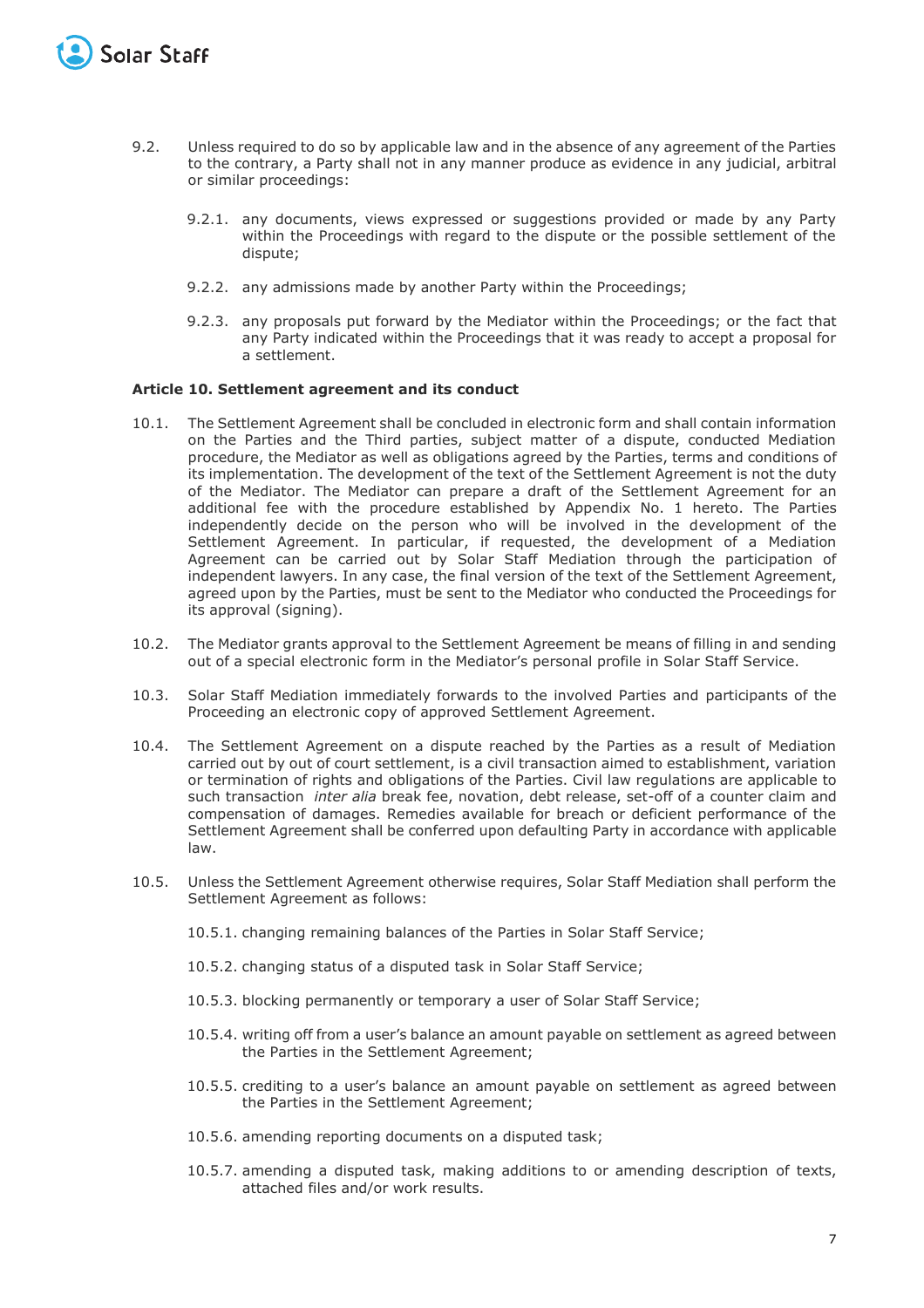

- 9.2. Unless required to do so by applicable law and in the absence of any agreement of the Parties to the contrary, a Party shall not in any manner produce as evidence in any judicial, arbitral or similar proceedings:
	- 9.2.1. any documents, views expressed or suggestions provided or made by any Party within the Proceedings with regard to the dispute or the possible settlement of the dispute;
	- 9.2.2. any admissions made by another Party within the Proceedings;
	- 9.2.3. any proposals put forward by the Mediator within the Proceedings; or the fact that any Party indicated within the Proceedings that it was ready to accept a proposal for a settlement.

## **Article 10. Settlement agreement and its conduct**

- 10.1. The Settlement Agreement shall be concluded in electronic form and shall contain information on the Parties and the Third parties, subject matter of a dispute, conducted Mediation procedure, the Mediator as well as obligations agreed by the Parties, terms and conditions of its implementation. The development of the text of the Settlement Agreement is not the duty of the Mediator. The Mediator can prepare a draft of the Settlement Agreement for an additional fee with the procedure established by Appendix No. 1 hereto. The Parties independently decide on the person who will be involved in the development of the Settlement Agreement. In particular, if requested, the development of a Mediation Agreement can be carried out by Solar Staff Mediation through the participation of independent lawyers. In any case, the final version of the text of the Settlement Agreement, agreed upon by the Parties, must be sent to the Mediator who conducted the Proceedings for its approval (signing).
- 10.2. The Mediator grants approval to the Settlement Agreement be means of filling in and sending out of a special electronic form in the Mediator's personal profile in Solar Staff Service.
- 10.3. Solar Staff Mediation immediately forwards to the involved Parties and participants of the Proceeding an electronic copy of approved Settlement Agreement.
- 10.4. The Settlement Agreement on a dispute reached by the Parties as a result of Mediation carried out by out of court settlement, is a civil transaction aimed to establishment, variation or termination of rights and obligations of the Parties. Civil law regulations are applicable to such transaction *inter alia* break fee, novation, debt release, set-off of a counter claim and compensation of damages. Remedies available for breach or deficient performance of the Settlement Agreement shall be conferred upon defaulting Party in accordance with applicable law.
- 10.5. Unless the Settlement Agreement otherwise requires, Solar Staff Mediation shall perform the Settlement Agreement as follows:
	- 10.5.1. changing remaining balances of the Parties in Solar Staff Service;
	- 10.5.2. changing status of a disputed task in Solar Staff Service;
	- 10.5.3. blocking permanently or temporary a user of Solar Staff Service;
	- 10.5.4. writing off from a user's balance an amount payable on settlement as agreed between the Parties in the Settlement Agreement;
	- 10.5.5. crediting to a user's balance an amount payable on settlement as agreed between the Parties in the Settlement Agreement;
	- 10.5.6. amending reporting documents on a disputed task;
	- 10.5.7. amending a disputed task, making additions to or amending description of texts, attached files and/or work results.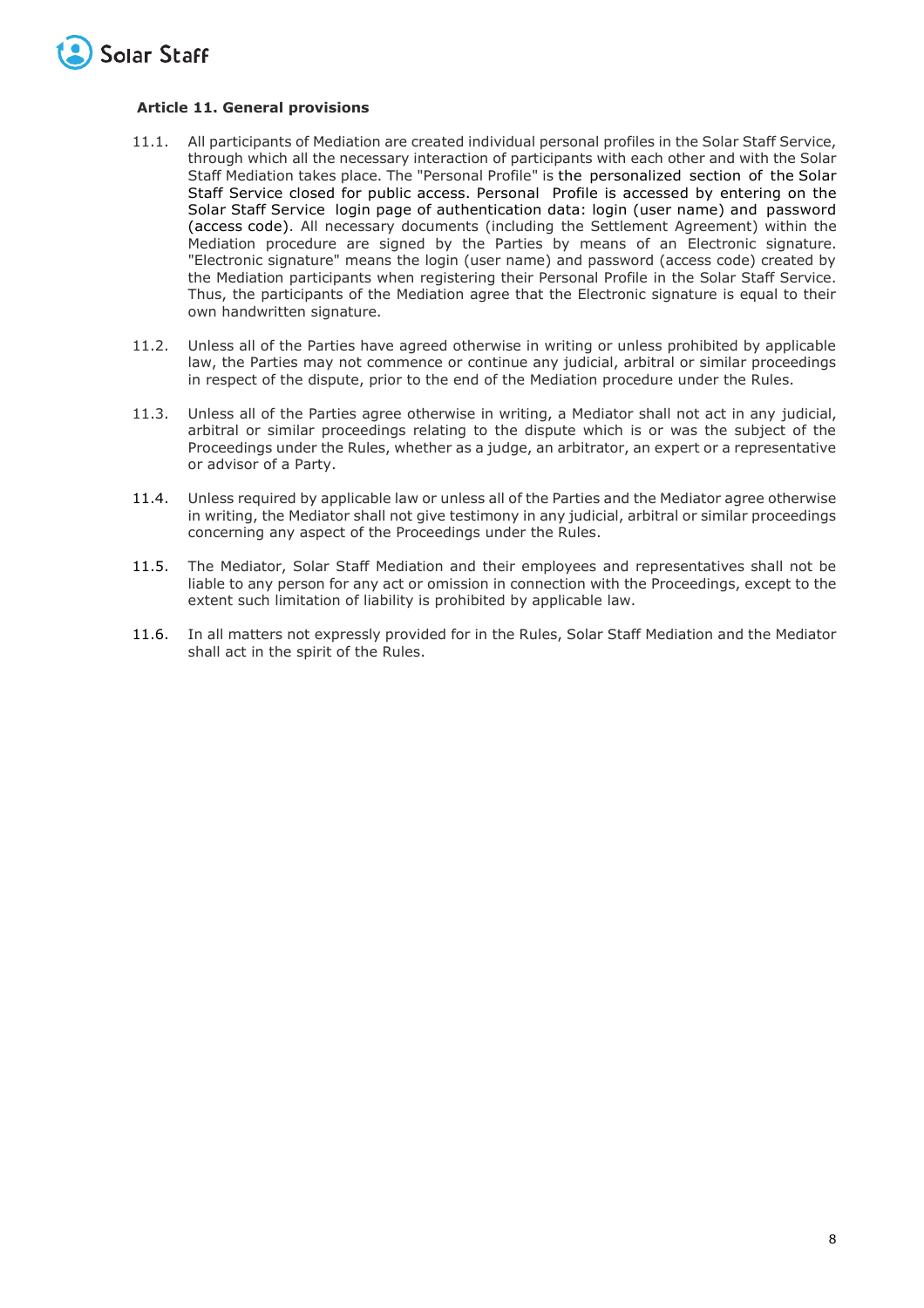

## **Article 11. General provisions**

- 11.1. All participants of Mediation are created individual personal profiles in the Solar Staff Service, through which all the necessary interaction of participants with each other and with the Solar Staff Mediation takes place. The "Personal Profile" is the personalized section of the Solar Staff Service closed for public access. Personal Profile is accessed by entering on the Solar Staff Service login page of authentication data: login (user name) and password (access code). All necessary documents (including the Settlement Agreement) within the Mediation procedure are signed by the Parties by means of an Electronic signature. "Electronic signature" means the login (user name) and password (access code) created by the Mediation participants when registering their Personal Profile in the Solar Staff Service. Thus, the participants of the Mediation agree that the Electronic signature is equal to their own handwritten signature.
- 11.2. Unless all of the Parties have agreed otherwise in writing or unless prohibited by applicable law, the Parties may not commence or continue any judicial, arbitral or similar proceedings in respect of the dispute, prior to the end of the Mediation procedure under the Rules.
- 11.3. Unless all of the Parties agree otherwise in writing, a Mediator shall not act in any judicial, arbitral or similar proceedings relating to the dispute which is or was the subject of the Proceedings under the Rules, whether as a judge, an arbitrator, an expert or a representative or advisor of a Party.
- 11.4. Unless required by applicable law or unless all of the Parties and the Mediator agree otherwise in writing, the Mediator shall not give testimony in any judicial, arbitral or similar proceedings concerning any aspect of the Proceedings under the Rules.
- 11.5. The Mediator, Solar Staff Mediation and their employees and representatives shall not be liable to any person for any act or omission in connection with the Proceedings, except to the extent such limitation of liability is prohibited by applicable law.
- 11.6. In all matters not expressly provided for in the Rules, Solar Staff Mediation and the Mediator shall act in the spirit of the Rules.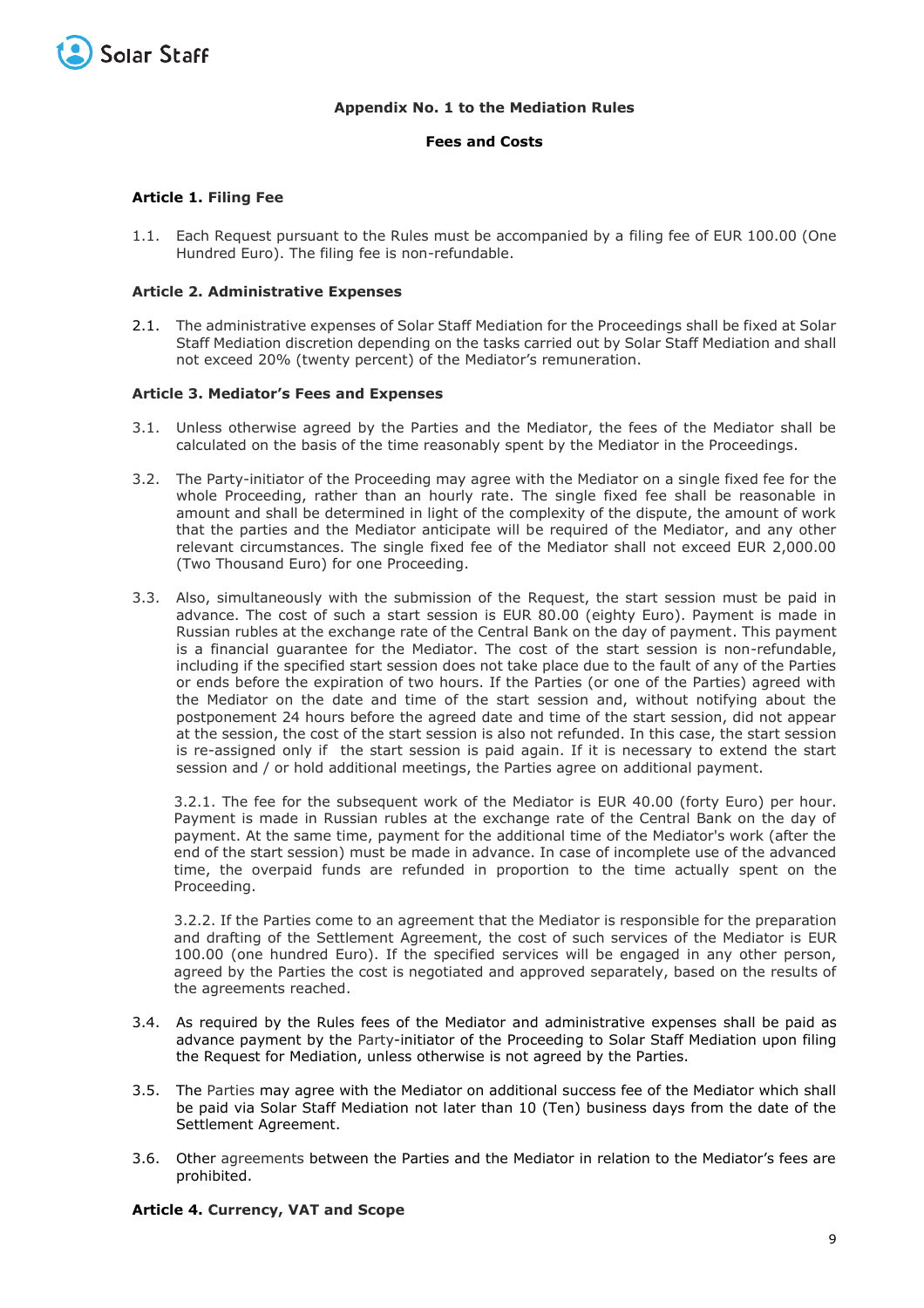

## **Appendix No. 1 to the Mediation Rules**

## **Fees and Costs**

## **Article 1. Filing Fee**

1.1. Each Request pursuant to the Rules must be accompanied by a filing fee of EUR 100.00 (One Hundred Euro). The filing fee is non-refundable.

## **Article 2. Administrative Expenses**

2.1. The administrative expenses of Solar Staff Mediation for the Proceedings shall be fixed at Solar Staff Mediation discretion depending on the tasks carried out by Solar Staff Mediation and shall not exceed 20% (twenty percent) of the Mediator's remuneration.

#### **Article 3. Mediator's Fees and Expenses**

- 3.1. Unless otherwise agreed by the Parties and the Mediator, the fees of the Mediator shall be calculated on the basis of the time reasonably spent by the Mediator in the Proceedings.
- 3.2. The Party-initiator of the Proceeding may agree with the Mediator on a single fixed fee for the whole Proceeding, rather than an hourly rate. The single fixed fee shall be reasonable in amount and shall be determined in light of the complexity of the dispute, the amount of work that the parties and the Mediator anticipate will be required of the Mediator, and any other relevant circumstances. The single fixed fee of the Mediator shall not exceed EUR 2,000.00 (Two Thousand Euro) for one Proceeding.
- 3.3. Also, simultaneously with the submission of the Request, the start session must be paid in advance. The cost of such a start session is EUR 80.00 (eighty Euro). Payment is made in Russian rubles at the exchange rate of the Central Bank on the day of payment. This payment is a financial guarantee for the Mediator. The cost of the start session is non-refundable, including if the specified start session does not take place due to the fault of any of the Parties or ends before the expiration of two hours. If the Parties (or one of the Parties) agreed with the Mediator on the date and time of the start session and, without notifying about the postponement 24 hours before the agreed date and time of the start session, did not appear at the session, the cost of the start session is also not refunded. In this case, the start session is re-assigned only if the start session is paid again. If it is necessary to extend the start session and / or hold additional meetings, the Parties agree on additional payment.

3.2.1. The fee for the subsequent work of the Mediator is EUR 40.00 (forty Euro) per hour. Payment is made in Russian rubles at the exchange rate of the Central Bank on the day of payment. At the same time, payment for the additional time of the Mediator's work (after the end of the start session) must be made in advance. In case of incomplete use of the advanced time, the overpaid funds are refunded in proportion to the time actually spent on the Proceeding.

3.2.2. If the Parties come to an agreement that the Mediator is responsible for the preparation and drafting of the Settlement Agreement, the cost of such services of the Mediator is EUR 100.00 (one hundred Euro). If the specified services will be engaged in any other person, agreed by the Parties the cost is negotiated and approved separately, based on the results of the agreements reached.

- 3.4. As required by the Rules fees of the Mediator and administrative expenses shall be paid as advance payment by the Party-initiator of the Proceeding to Solar Staff Mediation upon filing the Request for Mediation, unless otherwise is not agreed by the Parties.
- 3.5. The Parties may agree with the Mediator on additional success fee of the Mediator which shall be paid via Solar Staff Mediation not later than 10 (Ten) business days from the date of the Settlement Agreement.
- 3.6. Other agreements between the Parties and the Mediator in relation to the Mediator's fees are prohibited.

#### **Article 4. Currency, VAT and Scope**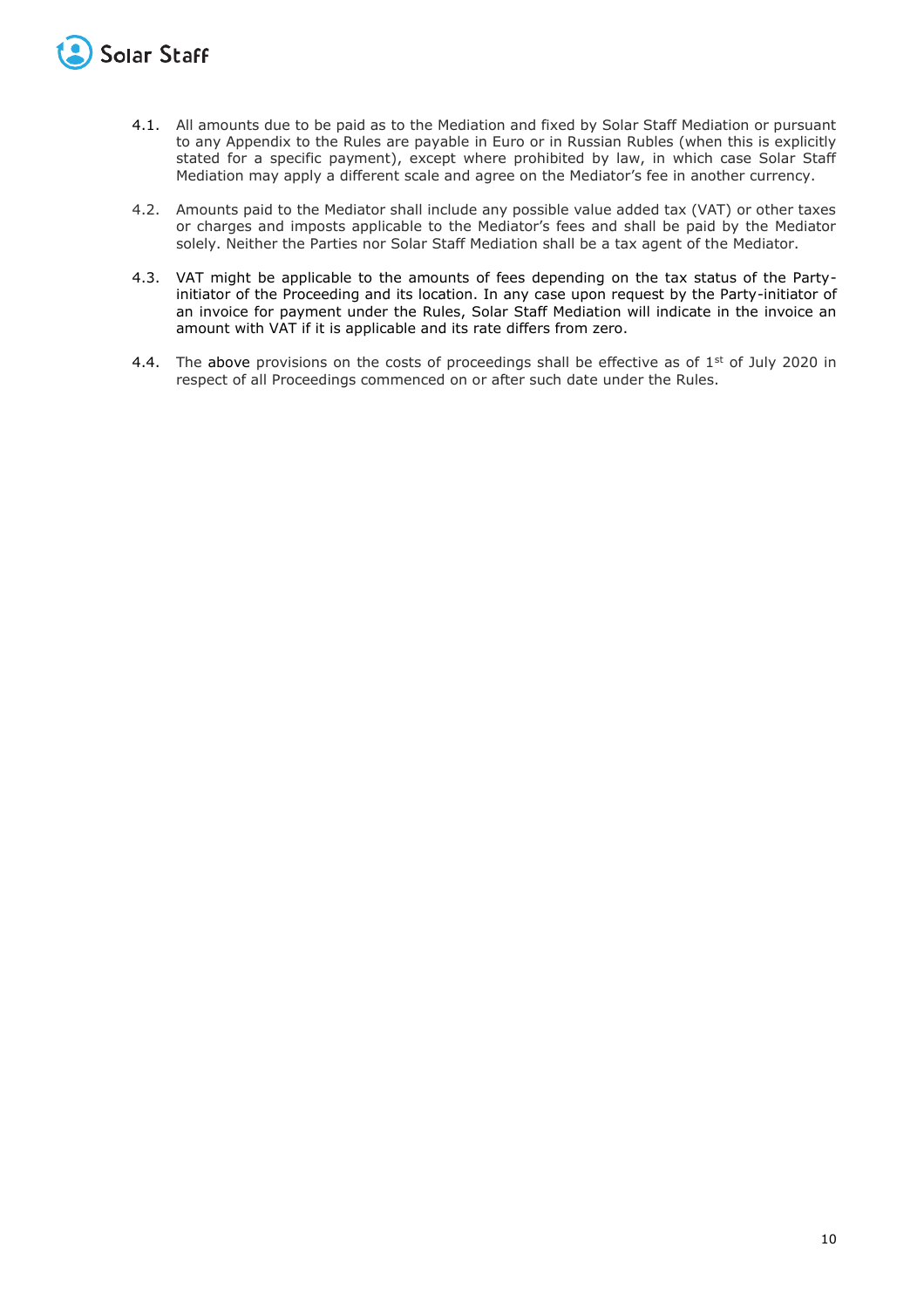

- 4.1. All amounts due to be paid as to the Mediation and fixed by Solar Staff Mediation or pursuant to any Appendix to the Rules are payable in Euro or in Russian Rubles (when this is explicitly stated for a specific payment), except where prohibited by law, in which case Solar Staff Mediation may apply a different scale and agree on the Mediator's fee in another currency.
- 4.2. Amounts paid to the Mediator shall include any possible value added tax (VAT) or other taxes or charges and imposts applicable to the Mediator's fees and shall be paid by the Mediator solely. Neither the Parties nor Solar Staff Mediation shall be a tax agent of the Mediator.
- 4.3. VAT might be applicable to the amounts of fees depending on the tax status of the Partyinitiator of the Proceeding and its location. In any case upon request by the Party-initiator of an invoice for payment under the Rules, Solar Staff Mediation will indicate in the invoice an amount with VAT if it is applicable and its rate differs from zero.
- 4.4. The above provisions on the costs of proceedings shall be effective as of  $1<sup>st</sup>$  of July 2020 in respect of all Proceedings commenced on or after such date under the Rules.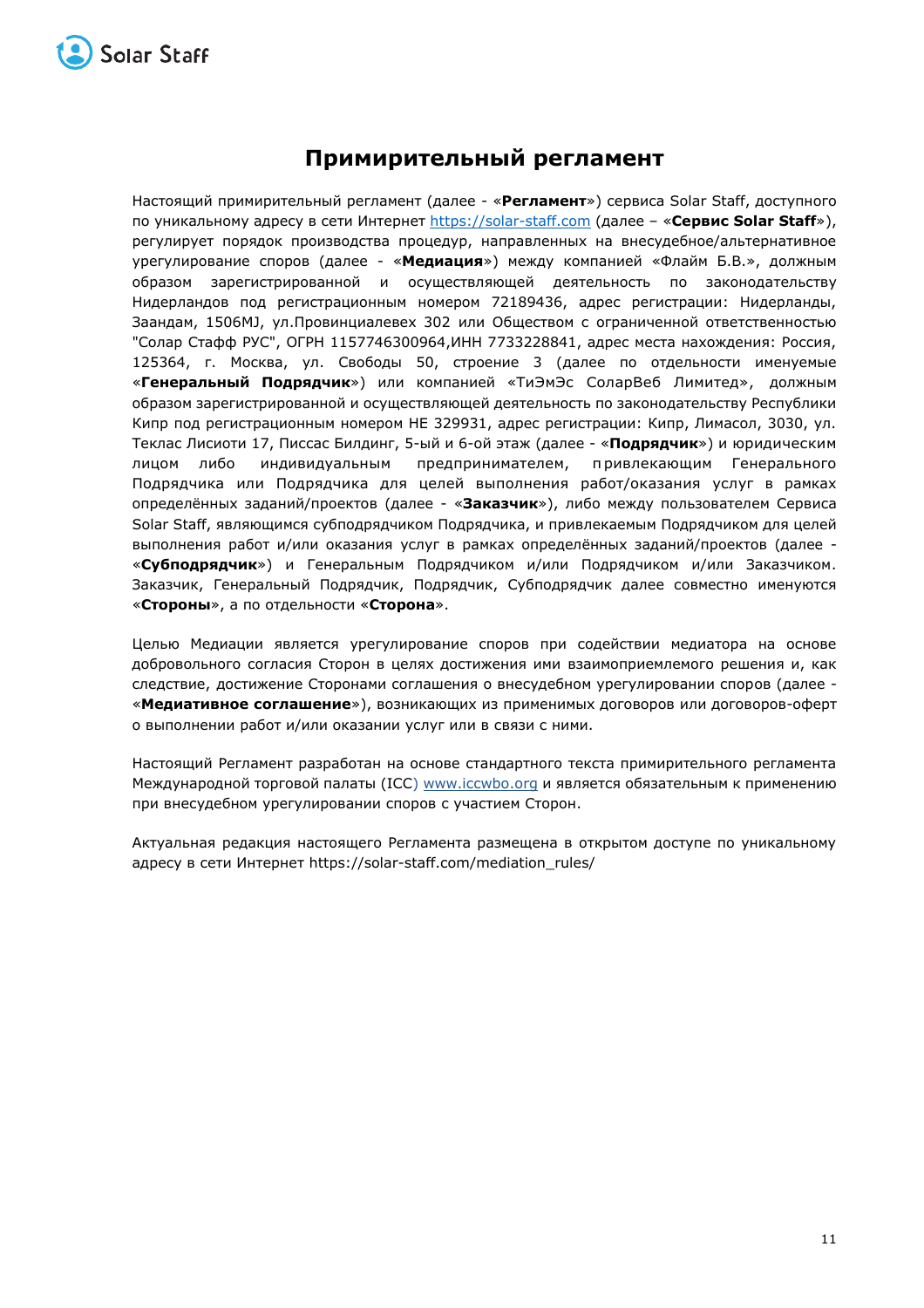

# **Примирительный регламент**

Настоящий примирительный регламент (далее - «**Регламент**») сервиса Solar Staff, доступного по уникальному адресу в сети Интернет [https://solar-staff.com](https://solar-staff.com/) (далее – «**Сервис Solar Staff**»), регулирует порядок производства процедур, направленных на внесудебное/альтернативное урегулирование споров (далее - «**Медиация**») между компанией «Флайм Б.В.», должным образом зарегистрированной и осуществляющей деятельность по законодательству Нидерландов под регистрационным номером 72189436, адрес регистрации: Нидерланды, Заандам, 1506MJ, ул.Провинциалевех 302 или Обществом с ограниченной ответственностью "Солар Стафф РУС", ОГРН 1157746300964,ИНН 7733228841, адрес места нахождения: Россия, 125364, г. Москва, ул. Свободы 50, строение 3 (далее по отдельности именуемые «**Генеральный Подрядчик**») или компанией «ТиЭмЭс СоларВеб Лимитед», должным образом зарегистрированной и осуществляющей деятельность по законодательству Республики Кипр под регистрационным номером HE 329931, адрес регистрации: Кипр, Лимасол, 3030, ул. Теклаc Лисиоти 17, Писсас Билдинг, 5-ый и 6-ой этаж (далее - «**Подрядчик**») и юридическим лицом либо индивидуальным предпринимателем, привлекающим Генерального Подрядчика или Подрядчика для целей выполнения работ/оказания услуг в рамках определённых заданий/проектов (далее - «**Заказчик**»), либо между пользователем Сервиса Solar Staff, являющимся субподрядчиком Подрядчика, и привлекаемым Подрядчиком для целей выполнения работ и/или оказания услуг в рамках определённых заданий/проектов (далее - «**Субподрядчик**») и Генеральным Подрядчиком и/или Подрядчиком и/или Заказчиком. Заказчик, Генеральный Подрядчик, Подрядчик, Субподрядчик далее совместно именуются «**Стороны**», а по отдельности «**Сторона**».

Целью Медиации является урегулирование споров при содействии медиатора на основе добровольного согласия Сторон в целях достижения ими взаимоприемлемого решения и, как следствие, достижение Сторонами соглашения о внесудебном урегулировании споров (далее - «**Медиативное соглашение**»), возникающих из применимых договоров или договоров-оферт о выполнении работ и/или оказании услуг или в связи с ними.

Настоящий Регламент разработан на основе стандартного текста примирительного регламента Международной торговой палаты (ICC) [www.iccwbo.org](https://www.iccwbo.org/) и является обязательным к применению при внесудебном урегулировании споров с участием Сторон.

Актуальная редакция настоящего Регламента размещена в открытом доступе по уникальному адресу в сети Интернет https://solar-staff.com/mediation\_rules/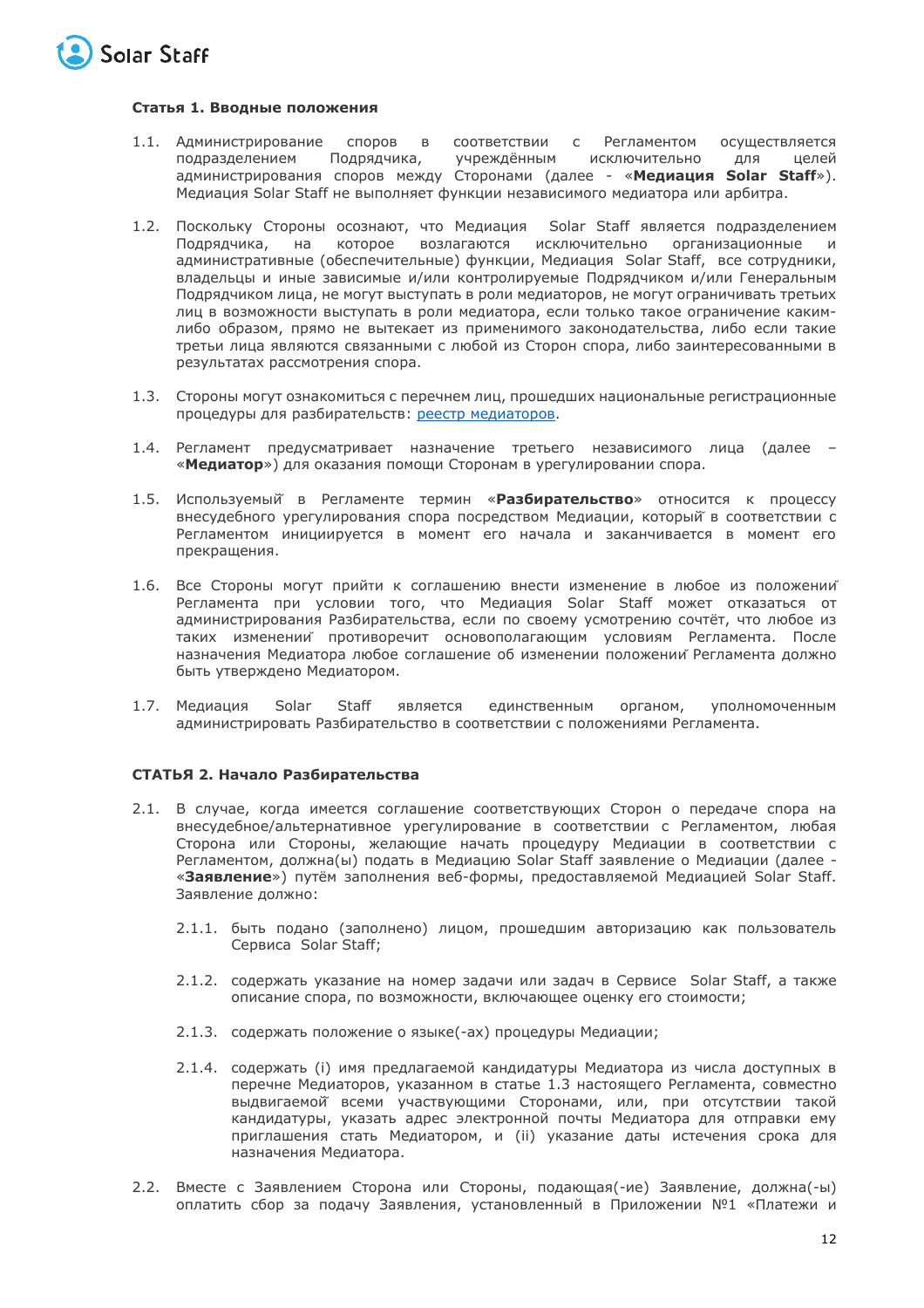

## **Статья 1. Вводные положения**

- 1.1. Администрирование споров в соответствии с Регламентом осуществляется<br>подразделением Подрядчика, учреждённым исключительно для целей подразделением Подрядчика, учреждённым исключительно для администрирования споров между Сторонами (далее - «**Медиация Solar Staff**»). Медиация Solar Staff не выполняет функции независимого медиатора или арбитра.
- 1.2. Поскольку Стороны осознают, что Медиация Solar Staff является подразделением Подрядчика, на которое возлагаются исключительно организационные и административные (обеспечительные) функции, Медиация Solar Staff, все сотрудники, владельцы и иные зависимые и/или контролируемые Подрядчиком и/или Генеральным Подрядчиком лица, не могут выступать в роли медиаторов, не могут ограничивать третьих лиц в возможности выступать в роли медиатора, если только такое ограничение какимлибо образом, прямо не вытекает из применимого законодательства, либо если такие третьи лица являются связанными с любой из Сторон спора, либо заинтересованными в результатах рассмотрения спора.
- 1.3. Стороны могут ознакомиться с перечнем лиц, прошедших национальные регистрационные процедуры для разбирательств: [реестр медиаторов](http://help.solar-staff.com/ru/articles/5157392-список-медиаторов).
- 1.4. Регламент предусматривает назначение третьего независимого лица (далее «**Медиатор**») для оказания помощи Сторонам в урегулировании спора.
- 1.5. Используемый̆ в Регламенте термин «**Разбирательство**» относится к процессу внесудебного урегулирования спора посредством Медиации, который̆ в соответствии с Регламентом инициируется в момент его начала и заканчивается в момент его прекращения.
- 1.6. Все Стороны могут прийти к соглашению внести изменение в любое из положений Регламента при условии того, что Медиация Solar Staff может отказаться от администрирования Разбирательства, если по своему усмотрению сочтёт, что любое из таких изменений противоречит основополагающим условиям Регламента. После назначения Медиатора любое соглашение об изменении положений Регламента должно быть утверждено Медиатором.
- 1.7. Медиация Solar Staff является единственным органом, уполномоченным администрировать Разбирательство в соответствии с положениями Регламента.

## **СТАТЬЯ 2. Начало Разбирательства**

- 2.1. В случае, когда имеется соглашение соответствующих Сторон о передаче спора на внесудебное/альтернативное урегулирование в соответствии с Регламентом, любая Сторона или Стороны, желающие начать процедуру Медиации в соответствии с Регламентом, должна(ы) подать в Медиацию Solar Staff заявление о Медиации (далее - «**Заявление**») путём заполнения веб-формы, предоставляемой Медиацией Solar Staff. Заявление должно:
	- 2.1.1. быть подано (заполнено) лицом, прошедшим авторизацию как пользователь Сервиса Solar Staff;
	- 2.1.2. содержать указание на номер задачи или задач в Сервисе Solar Staff, а также описание спора, по возможности, включающее оценку его стоимости;
	- 2.1.3. содержать положение о языке(-ах) процедуры Медиации;
	- 2.1.4. cодержать (i) имя предлагаемой кандидатуры Медиатора из числа доступных в перечне Медиаторов, указанном в статье 1.3 настоящего Регламента, совместно выдвигаемой̆ всеми участвующими Сторонами, или, при отсутствии такой кандидатуры, указать адрес электронной почты Медиатора для отправки ему приглашения стать Медиатором, и (ii) указание даты истечения срока для назначения Медиатора.
- 2.2. Вместе с Заявлением Сторона или Стороны, подающая(-ие) Заявление, должна(-ы) оплатить сбор за подачу Заявления, установленный в Приложении №1 «Платежи и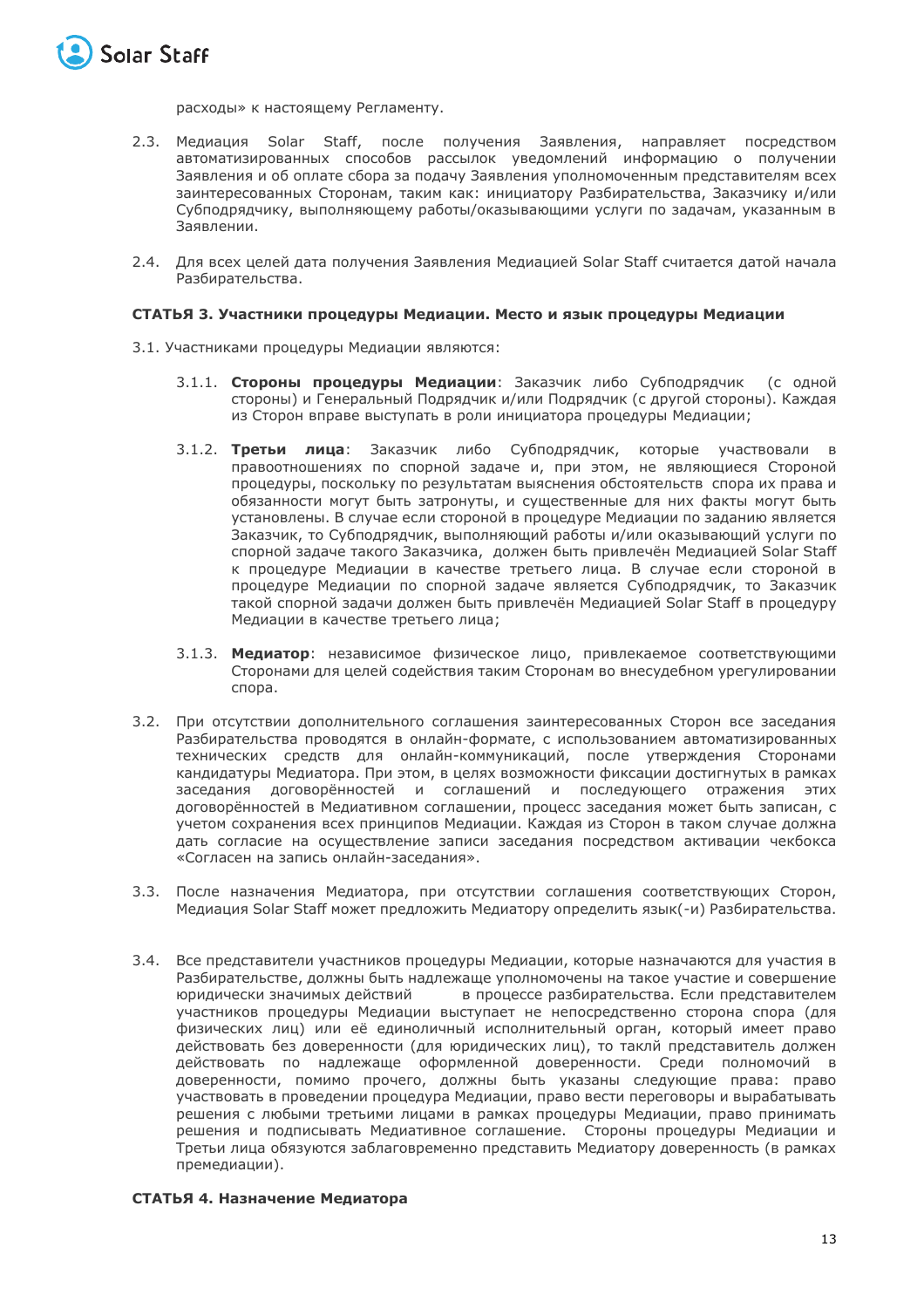

расходы» к настоящему Регламенту.

- 2.3. Медиация Solar Staff, после получения Заявления, направляет посредством автоматизированных способов рассылок уведомлений информацию о получении Заявления и об оплате сбора за подачу Заявления уполномоченным представителям всех заинтересованных Сторонам, таким как: инициатору Разбирательства, Заказчику и/или Субподрядчику, выполняющему работы/оказывающими услуги по задачам, указанным в Заявлении.
- 2.4. Для всех целей дата получения Заявления Медиацией Solar Staff считается датой начала Разбирательства.

## **СТАТЬЯ 3. Участники процедуры Медиации. Место и язык процедуры Медиации**

- 3.1. Участниками процедуры Медиации являются:
	- 3.1.1. **Стороны процедуры Медиации**: Заказчик либо Субподрядчик (с одной стороны) и Генеральный Подрядчик и/или Подрядчик (с другой стороны). Каждая из Сторон вправе выступать в роли инициатора процедуры Медиации;
	- 3.1.2. **Третьи лица**: Заказчик либо Субподрядчик, которые участвовали в правоотношениях по спорной задаче и, при этом, не являющиеся Стороной процедуры, поскольку по результатам выяснения обстоятельств спора их права и обязанности могут быть затронуты, и существенные для них факты могут быть установлены. В случае если стороной в процедуре Медиации по заданию является Заказчик, то Субподрядчик, выполняющий работы и/или оказывающий услуги по спорной задаче такого Заказчика, должен быть привлечён Медиацией Solar Staff к процедуре Медиации в качестве третьего лица. В случае если стороной в процедуре Медиации по спорной задаче является Субподрядчик, то Заказчик такой спорной задачи должен быть привлечён Медиацией Solar Staff в процедуру Медиации в качестве третьего лица;
	- 3.1.3. **Медиатор**: независимое физическое лицо, привлекаемое соответствующими Сторонами для целей содействия таким Сторонам во внесудебном урегулировании спора.
- 3.2. При отсутствии дополнительного соглашения заинтересованных Сторон все заседания Разбирательства проводятся в онлайн-формате, с использованием автоматизированных технических средств для онлайн-коммуникаций, после утверждения Сторонами кандидатуры Медиатора. При этом, в целях возможности фиксации достигнутых в рамках заседания договорённостей и соглашений и последующего отражения этих договорённостей в Медиативном соглашении, процесс заседания может быть записан, с учетом сохранения всех принципов Медиации. Каждая из Сторон в таком случае должна дать согласие на осуществление записи заседания посредством активации чекбокса «Согласен на запись онлайн-заседания».
- 3.3. После назначения Медиатора, при отсутствии соглашения соответствующих Сторон, Медиация Solar Staff может предложить Медиатору определить язык(-и) Разбирательства.
- 3.4. Все представители участников процедуры Медиации, которые назначаются для участия в Разбирательстве, должны быть надлежаще уполномочены на такое участие и совершение юридически значимых действий в процессе разбирательства. Если представителем участников процедуры Медиации выступает не непосредственно сторона спора (для физических лиц) или её единоличный исполнительный орган, который имеет право действовать без доверенности (для юридических лиц), то таклй представитель должен действовать по надлежаще оформленной доверенности. Среди полномочий в доверенности, помимо прочего, должны быть указаны следующие права: право участвовать в проведении процедура Медиации, право вести переговоры и вырабатывать решения с любыми третьими лицами в рамках процедуры Медиации, право принимать решения и подписывать Медиативное соглашение. Стороны процедуры Медиации и Третьи лица обязуются заблаговременно представить Медиатору доверенность (в рамках премедиации).

## **СТАТЬЯ 4. Назначение Медиатора**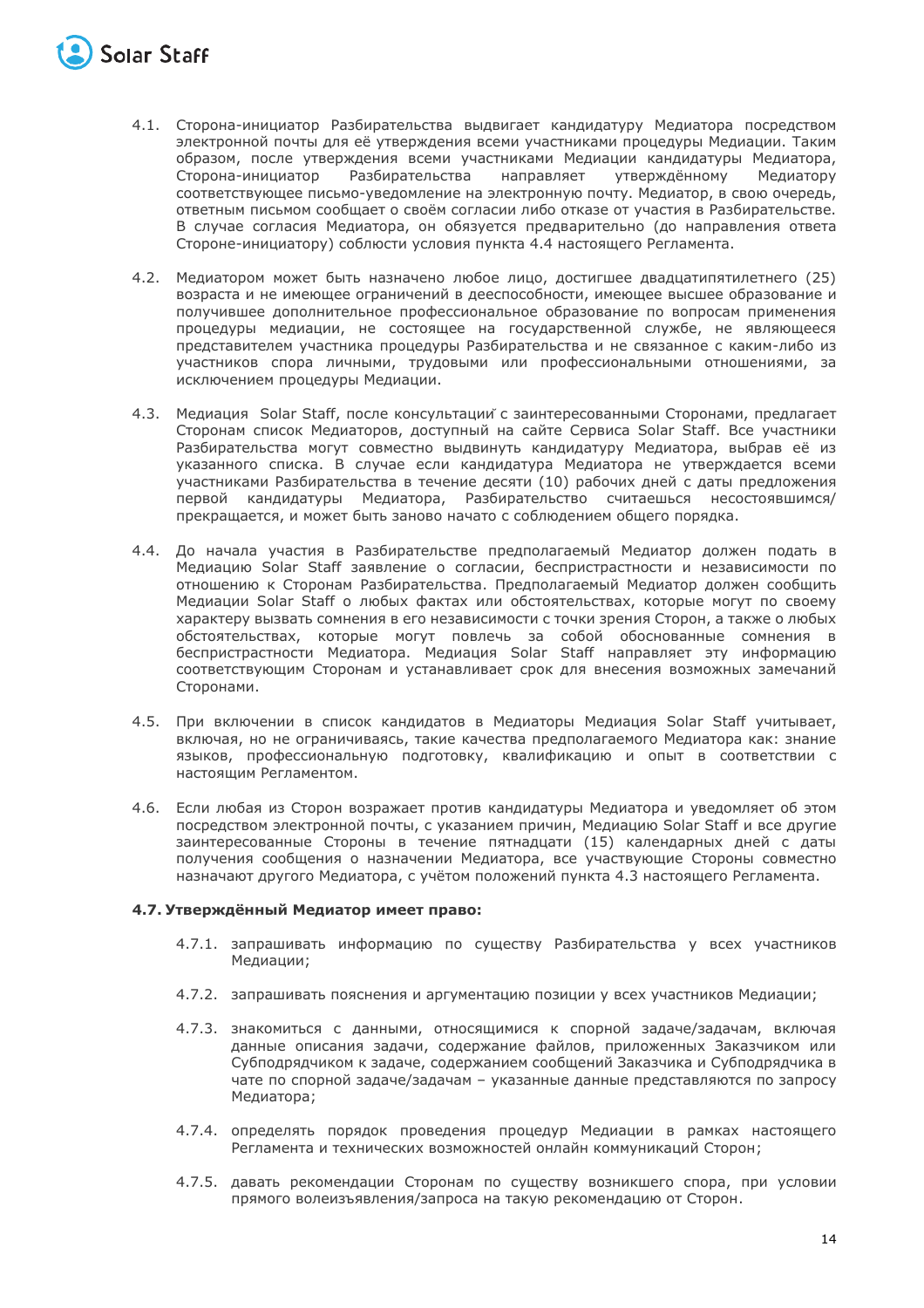

- 4.1. Сторона-инициатор Разбирательства выдвигает кандидатуру Медиатора посредством электронной почты для её утверждения всеми участниками процедуры Медиации. Таким образом, после утверждения всеми участниками Медиации кандидатуры Медиатора,<br>Сторона-инициатор Разбирательства инаправляет утверждённому Медиатору Сторона-инициатор Разбирательства направляет утверждённому соответствующее письмо-уведомление на электронную почту. Медиатор, в свою очередь, ответным письмом сообщает о своём согласии либо отказе от участия в Разбирательстве. В случае согласия Медиатора, он обязуется предварительно (до направления ответа Стороне-инициатору) соблюсти условия пункта 4.4 настоящего Регламента.
- 4.2. Медиатором может быть назначено любое лицо, достигшее двадцатипятилетнего (25) возраста и не имеющее ограничений в дееспособности, имеющее высшее образование и получившее дополнительное профессиональное образование по вопросам применения процедуры медиации, не состоящее на государственной службе, не являющееся представителем участника процедуры Разбирательства и не связанное с каким-либо из участников спора личными, трудовыми или профессиональными отношениями, за исключением процедуры Медиации.
- 4.3. Медиация Solar Staff, после консультацийс заинтересованными Сторонами, предлагает Сторонам список Медиаторов, доступный на сайте Сервиса Solar Staff. Все участники Разбирательства могут совместно выдвинуть кандидатуру Медиатора, выбрав её из указанного списка. В случае если кандидатура Медиатора не утверждается всеми участниками Разбирательства в течение десяти (10) рабочих дней с даты предложения первой кандидатуры Медиатора, Разбирательство считаешься несостоявшимся/ прекращается, и может быть заново начато с соблюдением общего порядка.
- 4.4. До начала участия в Разбирательстве предполагаемый Медиатор должен подать в Медиацию Solar Staff заявление о согласии, беспристрастности и независимости по отношению к Сторонам Разбирательства. Предполагаемый Медиатор должен сообщить Медиации Solar Staff о любых фактах или обстоятельствах, которые могут по своему характеру вызвать сомнения в его независимости с точки зрения Сторон, а также о любых обстоятельствах, которые могут повлечь за собой обоснованные сомнения в беспристрастности Медиатора. Медиация Solar Staff направляет эту информацию соответствующим Сторонам и устанавливает срок для внесения возможных замечаний Сторонами.
- 4.5. При включении в список кандидатов в Медиаторы Медиация Solar Staff учитывает, включая, но не ограничиваясь, такие качества предполагаемого Медиатора как: знание языков, профессиональную подготовку, квалификацию и опыт в соответствии с настоящим Регламентом.
- 4.6. Если любая из Сторон возражает против кандидатуры Медиатора и уведомляет об этом посредством электронной почты, с указанием причин, Медиацию Solar Staff и все другие заинтересованные Стороны в течение пятнадцати (15) календарных дней с даты получения сообщения о назначении Медиатора, все участвующие Стороны совместно назначают другого Медиатора, с учётом положений пункта 4.3 настоящего Регламента.

## **4.7. Утверждённый Медиатор имеет право:**

- 4.7.1. запрашивать информацию по существу Разбирательства у всех участников Медиации;
- 4.7.2. запрашивать пояснения и аргументацию позиции у всех участников Медиации;
- 4.7.3. знакомиться с данными, относящимися к спорной задаче/задачам, включая данные описания задачи, содержание файлов, приложенных Заказчиком или Субподрядчиком к задаче, содержанием сообщений Заказчика и Субподрядчика в чате по спорной задаче/задачам – указанные данные представляются по запросу Медиатора;
- 4.7.4. определять порядок проведения процедур Медиации в рамках настоящего Регламента и технических возможностей онлайн коммуникаций Сторон;
- 4.7.5. давать рекомендации Сторонам по существу возникшего спора, при условии прямого волеизъявления/запроса на такую рекомендацию от Сторон.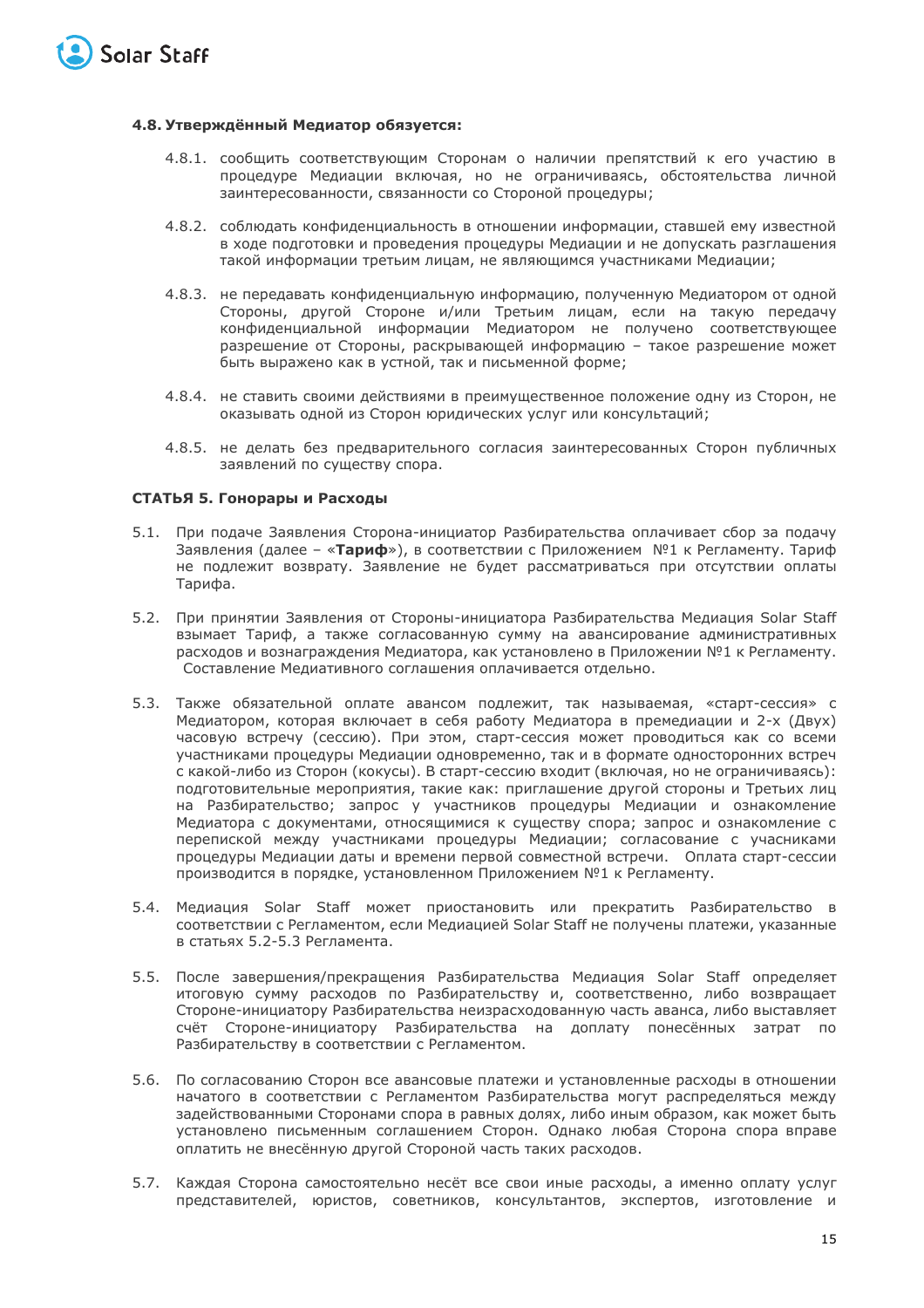

#### **4.8. Утверждённый Медиатор обязуется:**

- 4.8.1. сообщить соответствующим Сторонам о наличии препятствий к его участию в процедуре Медиации включая, но не ограничиваясь, обстоятельства личной заинтересованности, связанности со Стороной процедуры;
- 4.8.2. соблюдать конфиденциальность в отношении информации, ставшей ему известной в ходе подготовки и проведения процедуры Медиации и не допускать разглашения такой информации третьим лицам, не являющимся участниками Медиации;
- 4.8.3. не передавать конфиденциальную информацию, полученную Медиатором от одной Стороны, другой Стороне и/или Третьим лицам, если на такую передачу конфиденциальной информации Медиатором не получено соответствующее разрешение от Стороны, раскрывающей информацию – такое разрешение может быть выражено как в устной, так и письменной форме;
- 4.8.4. не ставить своими действиями в преимущественное положение одну из Сторон, не оказывать одной из Сторон юридических услуг или консультаций;
- 4.8.5. не делать без предварительного согласия заинтересованных Сторон публичных заявлений по существу спора.

#### **СТАТЬЯ 5. Гонорары и Расходы**

- 5.1. При подаче Заявления Сторона-инициатор Разбирательства оплачивает сбор за подачу Заявления (далее – «**Тариф**»), в соответствии с Приложением №1 к Регламенту. Тариф не подлежит возврату. Заявление не будет рассматриваться при отсутствии оплаты Тарифа.
- 5.2. При принятии Заявления от Стороны-инициатора Разбирательства Медиация Solar Staff взымает Тариф, а также согласованную сумму на авансирование административных расходов и вознаграждения Медиатора, как установлено в Приложении №1 к Регламенту. Составление Медиативного соглашения оплачивается отдельно.
- 5.3. Также обязательной оплате авансом подлежит, так называемая, «старт-сессия» с Медиатором, которая включает в себя работу Медиатора в премедиации и 2-х (Двух) часовую встречу (сессию). При этом, старт-сессия может проводиться как со всеми участниками процедуры Медиации одновременно, так и в формате односторонних встреч с какой-либо из Сторон (кокусы). В старт-сессию входит (включая, но не ограничиваясь): подготовительные мероприятия, такие как: приглашение другой стороны и Третьих лиц на Разбирательство; запрос у участников процедуры Медиации и ознакомление Медиатора с документами, относящимися к существу спора; запрос и ознакомление с перепиской между участниками процедуры Медиации; согласование с учасниками процедуры Медиации даты и времени первой совместной встречи. Оплата старт-сессии производится в порядке, установленном Приложением №1 к Регламенту.
- 5.4. Медиация Solar Staff может приостановить или прекратить Разбирательство в соответствии с Регламентом, если Медиацией Solar Staff не получены платежи, указанные в статьях 5.2-5.3 Регламента.
- 5.5. После завершения/прекращения Разбирательства Медиация Solar Staff определяет итоговую сумму расходов по Разбирательству и, соответственно, либо возвращает Стороне-инициатору Разбирательства неизрасходованную часть аванса, либо выставляет счёт Стороне-инициатору Разбирательства на доплату понесённых затрат по Разбирательству в соответствии с Регламентом.
- 5.6. По согласованию Сторон все авансовые платежи и установленные расходы в отношении начатого в соответствии с Регламентом Разбирательства могут распределяться между задействованными Сторонами спора в равных долях, либо иным образом, как может быть установлено письменным соглашением Сторон. Однако любая Сторона спора вправе оплатить не внесённую другой Стороной часть таких расходов.
- 5.7. Каждая Сторона самостоятельно несёт все свои иные расходы, а именно оплату услуг представителей, юристов, советников, консультантов, экспертов, изготовление и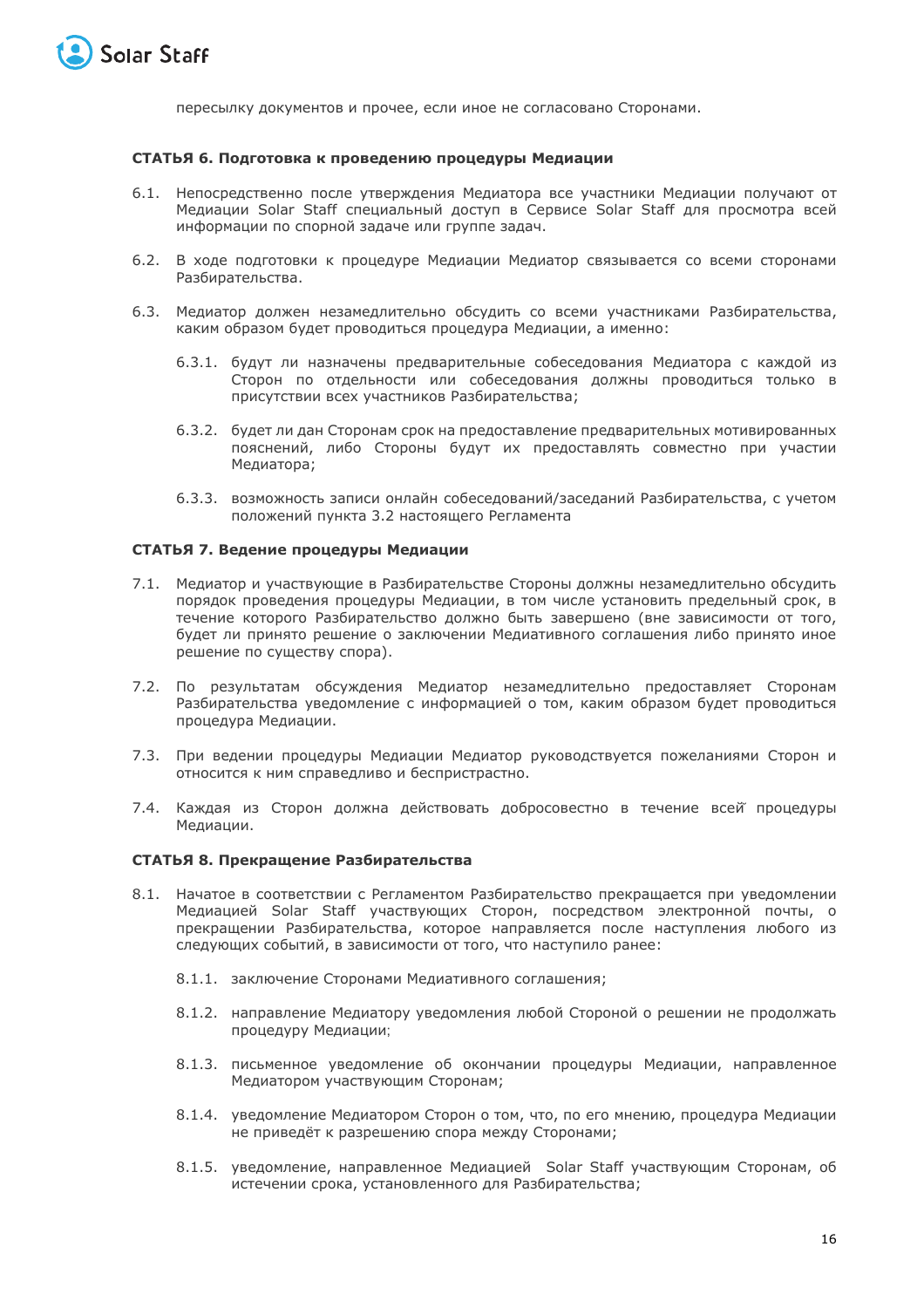

пересылку документов и прочее, если иное не согласовано Сторонами.

## **СТАТЬЯ 6. Подготовка к проведению процедуры Медиации**

- 6.1. Непосредственно после утверждения Медиатора все участники Медиации получают от Медиации Solar Staff специальный доступ в Сервисе Solar Staff для просмотра всей информации по спорной задаче или группе задач.
- 6.2. В ходе подготовки к процедуре Медиации Медиатор связывается со всеми сторонами Разбирательства.
- 6.3. Медиатор должен незамедлительно обсудить со всеми участниками Разбирательства, каким образом будет проводиться процедура Медиации, а именно:
	- 6.3.1. будут ли назначены предварительные собеседования Медиатора с каждой из Сторон по отдельности или собеседования должны проводиться только в присутствии всех участников Разбирательства;
	- 6.3.2. будет ли дан Сторонам срок на предоставление предварительных мотивированных пояснений, либо Стороны будут их предоставлять совместно при участии Медиатора;
	- 6.3.3. возможность записи онлайн собеседований/заседаний Разбирательства, с учетом положений пункта 3.2 настоящего Регламента

#### **СТАТЬЯ 7. Ведение процедуры Медиации**

- 7.1. Медиатор и участвующие в Разбирательстве Стороны должны незамедлительно обсудить порядок проведения процедуры Медиации, в том числе установить предельный срок, в течение которого Разбирательство должно быть завершено (вне зависимости от того, будет ли принято решение о заключении Медиативного соглашения либо принято иное решение по существу спора).
- 7.2. По результатам обсуждения Медиатор незамедлительно предоставляет Сторонам Разбирательства уведомление с информацией о том, каким образом будет проводиться процедура Медиации.
- 7.3. При ведении процедуры Медиации Медиатор руководствуется пожеланиями Сторон и относится к ним справедливо и беспристрастно.
- 7.4. Каждая из Сторон должна действовать добросовестно в течение всей̆ процедуры Медиации.

## **СТАТЬЯ 8. Прекращение Разбирательства**

- 8.1. Начатое в соответствии с Регламентом Разбирательство прекращается при уведомлении Медиацией Solar Staff участвующих Сторон, посредством электронной почты, о прекращении Разбирательства, которое направляется после наступления любого из следующих событий, в зависимости от того, что наступило ранее:
	- 8.1.1. заключение Сторонами Медиативного соглашения;
	- 8.1.2. направление Медиатору уведомления любой Стороной о решении не продолжать процедуру Медиации;
	- 8.1.3. письменное уведомление об окончании процедуры Медиации, направленное Медиатором участвующим Сторонам;
	- 8.1.4. уведомление Медиатором Сторон о том, что, по его мнению, процедура Медиации не приведёт к разрешению спора между Сторонами;
	- 8.1.5. уведомление, направленное Медиацией Solar Staff участвующим Сторонам, об истечении срока, установленного для Разбирательства;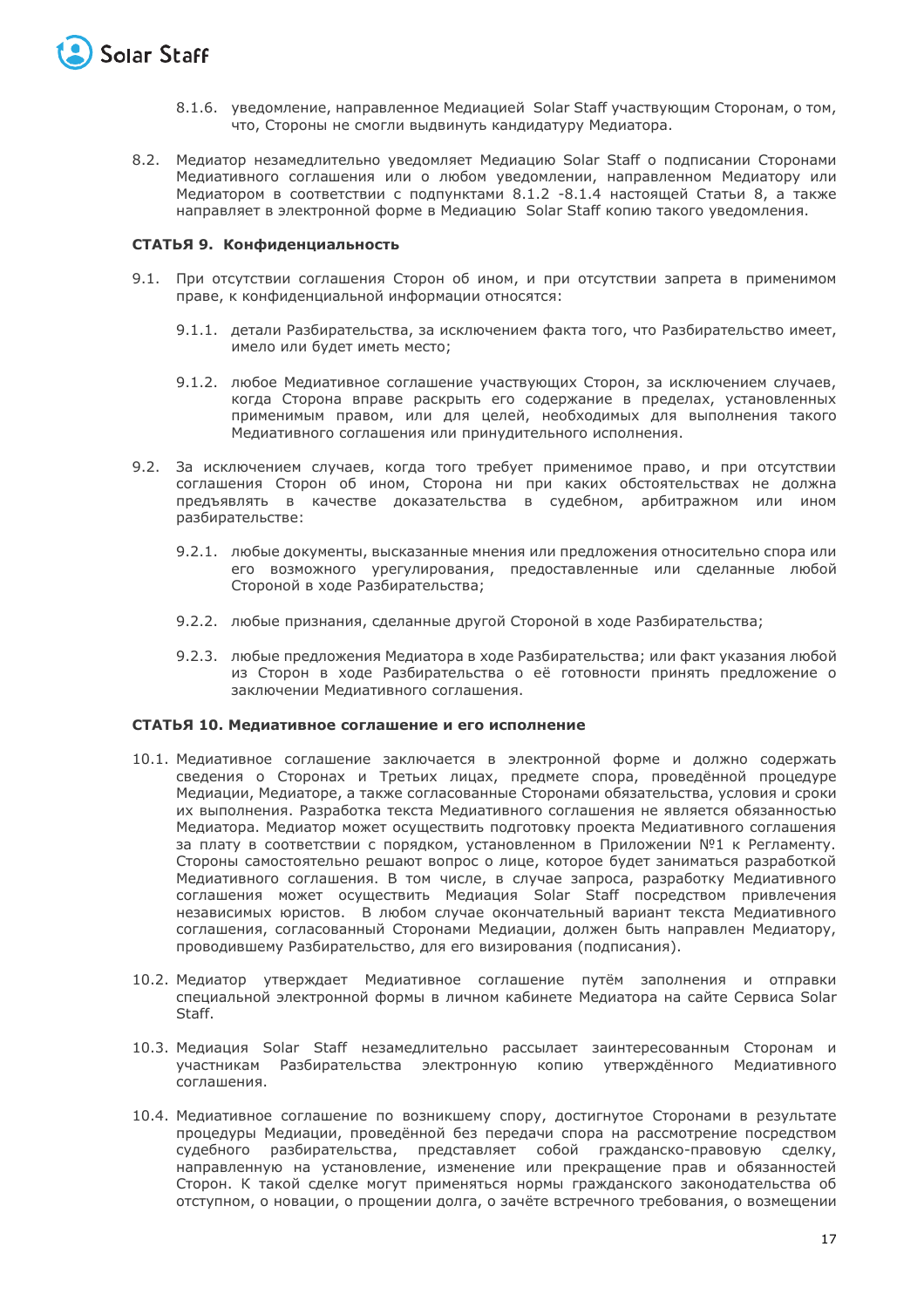

- 8.1.6. уведомление, направленное Медиацией Solar Staff участвующим Сторонам, о том, что, Стороны не смогли выдвинуть кандидатуру Медиатора.
- 8.2. Медиатор незамедлительно уведомляет Медиацию Solar Staff о подписании Сторонами Медиативного соглашения или о любом уведомлении, направленном Медиатору или Медиатором в соответствии с подпунктами 8.1.2 -8.1.4 настоящей Статьи 8, а также направляет в электронной форме в Медиацию Solar Staff копию такого уведомления.

#### **СТАТЬЯ 9. Конфиденциальность**

- 9.1. При отсутствии соглашения Сторон об ином, и при отсутствии запрета в применимом праве, к конфиденциальной информации относятся:
	- 9.1.1. детали Разбирательства, за исключением факта того, что Разбирательство имеет, имело или будет иметь место;
	- 9.1.2. любое Медиативное соглашение участвующих Сторон, за исключением случаев, когда Сторона вправе раскрыть его содержание в пределах, установленных применимым правом, или для целей, необходимых для выполнения такого Медиативного соглашения или принудительного исполнения.
- 9.2. За исключением случаев, когда того требует применимое право, и при отсутствии соглашения Сторон об ином, Сторона ни при каких обстоятельствах не должна предъявлять в качестве доказательства в судебном, арбитражном или ином разбирательстве:
	- 9.2.1. любые документы, высказанные мнения или предложения относительно спора или его возможного урегулирования, предоставленные или сделанные любой Стороной в ходе Разбирательства;
	- 9.2.2. любые признания, сделанные другой Стороной в ходе Разбирательства;
	- 9.2.3. любые предложения Медиатора в ходе Разбирательства; или факт указания любой из Сторон в ходе Разбирательства о её готовности принять предложение о заключении Медиативного соглашения.

#### **СТАТЬЯ 10. Медиативное соглашение и его исполнение**

- 10.1. Медиативное соглашение заключается в электронной форме и должно содержать сведения о Сторонах и Третьих лицах, предмете спора, проведённой процедуре Медиации, Медиаторе, а также согласованные Сторонами обязательства, условия и сроки их выполнения. Разработка текста Медиативного соглашения не является обязанностью Медиатора. Медиатор может осуществить подготовку проекта Медиативного соглашения за плату в соответствии с порядком, установленном в Приложении №1 к Регламенту. Стороны самостоятельно решают вопрос о лице, которое будет заниматься разработкой Медиативного соглашения. В том числе, в случае запроса, разработку Медиативного соглашения может осуществить Медиация Solar Staff посредством привлечения независимых юристов. В любом случае окончательный вариант текста Медиативного соглашения, согласованный Сторонами Медиации, должен быть направлен Медиатору, проводившему Разбирательство, для его визирования (подписания).
- 10.2. Медиатор утверждает Медиативное соглашение путём заполнения и отправки специальной электронной формы в личном кабинете Медиатора на сайте Сервиса Solar Staff.
- 10.3. Медиация Solar Staff незамедлительно рассылает заинтересованным Сторонам и участникам Разбирательства электронную копию утверждённого Медиативного соглашения.
- 10.4. Медиативное соглашение по возникшему спору, достигнутое Сторонами в результате процедуры Медиации, проведённой без передачи спора на рассмотрение посредством судебного разбирательства, представляет собой гражданско-правовую сделку, направленную на установление, изменение или прекращение прав и обязанностей Сторон. К такой сделке могут применяться нормы гражданского законодательства об отступном, о новации, о прощении долга, о зачёте встречного требования, о возмещении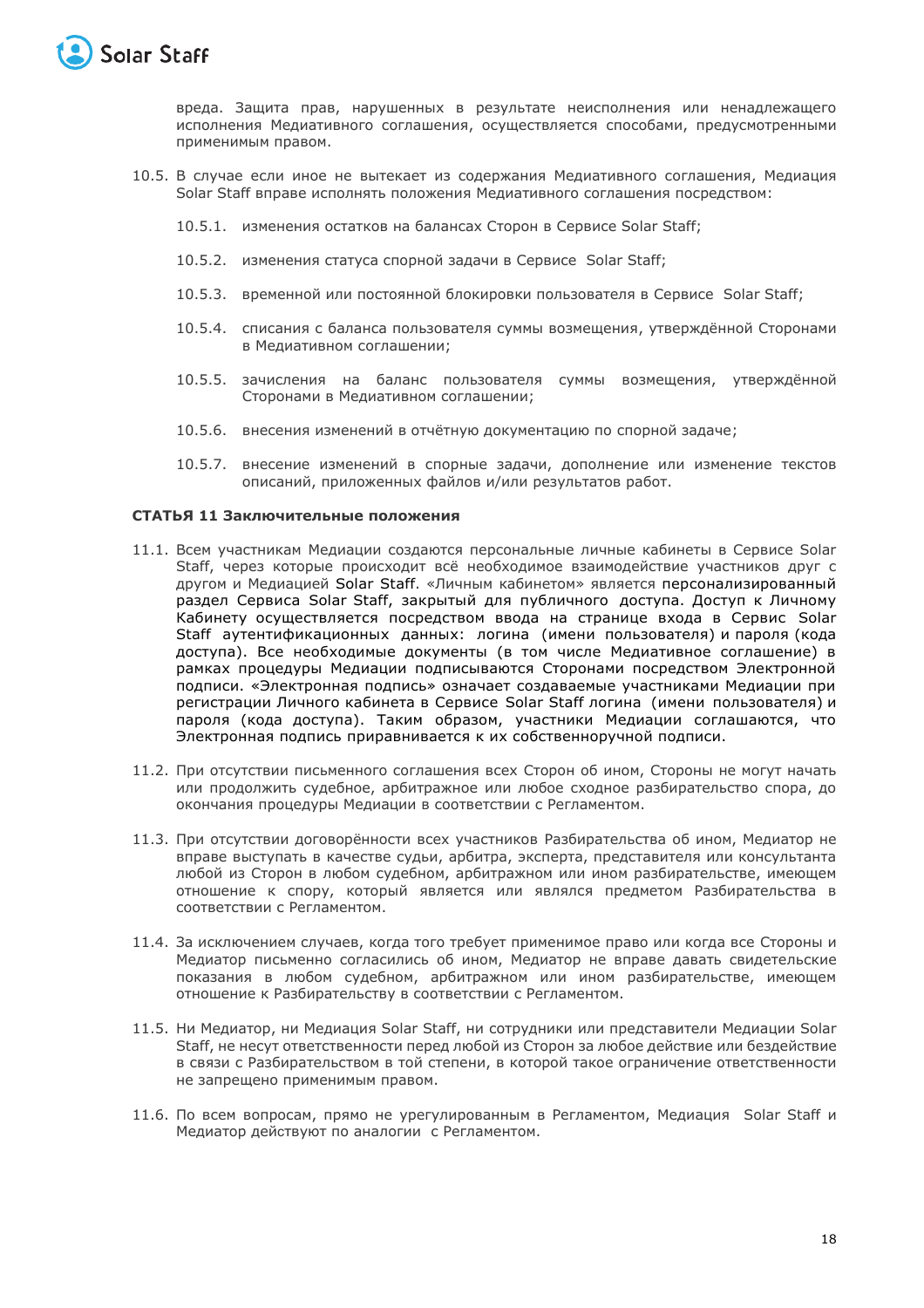

вреда. Защита прав, нарушенных в результате неисполнения или ненадлежащего исполнения Медиативного соглашения, осуществляется способами, предусмотренными применимым правом.

- 10.5. В случае если иное не вытекает из содержания Медиативного соглашения, Медиация Solar Staff вправе исполнять положения Медиативного соглашения посредством:
	- 10.5.1. изменения остатков на балансах Сторон в Сервисе Solar Staff;
	- 10.5.2. изменения статуса спорной задачи в Сервисе Solar Staff;
	- 10.5.3. временной или постоянной блокировки пользователя в Сервисе Solar Staff;
	- 10.5.4. списания с баланса пользователя суммы возмещения, утверждённой Сторонами в Медиативном соглашении;
	- 10.5.5. зачисления на баланс пользователя суммы возмещения, утверждённой Сторонами в Медиативном соглашении;
	- 10.5.6. внесения изменений в отчётную документацию по спорной задаче;
	- 10.5.7. внесение изменений в спорные задачи, дополнение или изменение текстов описаний, приложенных файлов и/или результатов работ.

#### **СТАТЬЯ 11 Заключительные положения**

- 11.1. Всем участникам Медиации создаются персональные личные кабинеты в Сервисе Solar Staff, через которые происходит всё необходимое взаимодействие участников друг с другом и Медиацией Solar Staff. «Личным кабинетом» является персонализированный раздел Сервиса Solar Staff, закрытый для публичного доступа. Доступ к Личному Кабинету осуществляется посредством ввода на странице входа в Сервис Solar Staff аутентификационных данных: логина (имени пользователя) и пароля (кода доступа). Все необходимые документы (в том числе Медиативное соглашение) в рамках процедуры Медиации подписываются Сторонами посредством Электронной подписи. «Электронная подпись» означает создаваемые участниками Медиации при регистрации Личного кабинета в Сервисе Solar Staff логина (имени пользователя) и пароля (кода доступа). Таким образом, участники Медиации соглашаются, что Электронная подпись приравнивается к их собственноручной подписи.
- 11.2. При отсутствии письменного соглашения всех Сторон об ином, Стороны не могут начать или продолжить судебное, арбитражное или любое сходное разбирательство спора, до окончания процедуры Медиации в соответствии с Регламентом.
- 11.3. При отсутствии договорённости всех участников Разбирательства об ином, Медиатор не вправе выступать в качестве судьи, арбитра, эксперта, представителя или консультанта любой из Сторон в любом судебном, арбитражном или ином разбирательстве, имеющем отношение к спору, который является или являлся предметом Разбирательства в соответствии с Регламентом.
- 11.4. За исключением случаев, когда того требует применимое право или когда все Стороны и Медиатор письменно согласились об ином, Медиатор не вправе давать свидетельские показания в любом судебном, арбитражном или ином разбирательстве, имеющем отношение к Разбирательству в соответствии с Регламентом.
- 11.5. Ни Медиатор, ни Медиация Solar Staff, ни сотрудники или представители Медиации Solar Staff, не несут ответственности перед любой из Сторон за любое действие или бездействие в связи с Разбирательством в той степени, в которой такое ограничение ответственности не запрещено применимым правом.
- 11.6. По всем вопросам, прямо не урегулированным в Регламентом, Медиация Solar Staff и Медиатор действуют по аналогии с Регламентом.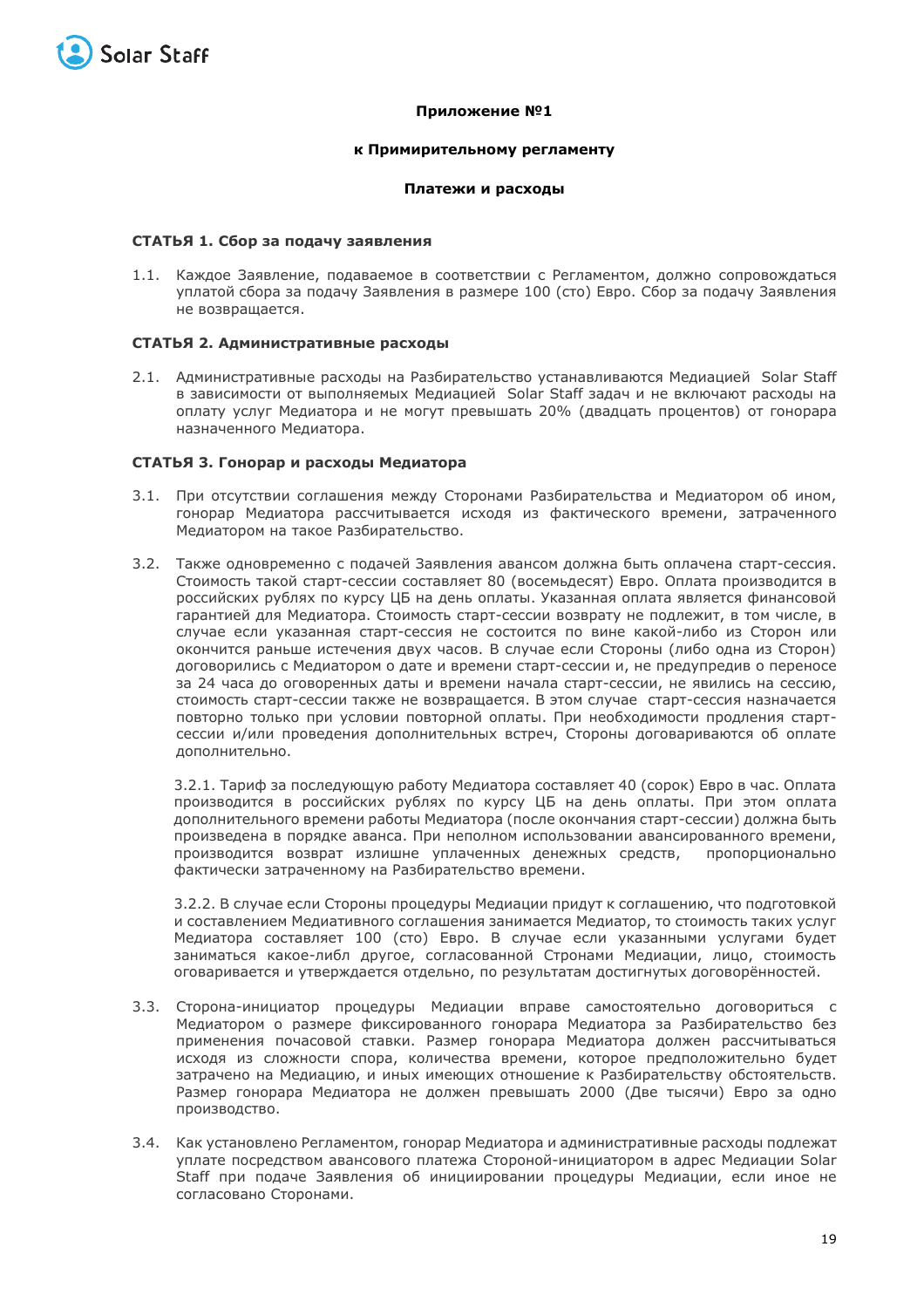

#### **Приложение №1**

#### **к Примирительному регламенту**

#### **Платежи и расходы**

#### **СТАТЬЯ 1. Сбор за подачу заявления**

1.1. Каждое Заявление, подаваемое в соответствии с Регламентом, должно сопровождаться уплатой сбора за подачу Заявления в размере 100 (сто) Евро. Сбор за подачу Заявления не возвращается.

#### **СТАТЬЯ 2. Административные расходы**

2.1. Административные расходы на Разбирательство устанавливаются Медиацией Solar Staff в зависимости от выполняемых Медиацией Solar Staff задач и не включают расходы на оплату услуг Медиатора и не могут превышать 20% (двадцать процентов) от гонорара назначенного Медиатора.

#### **СТАТЬЯ 3. Гонорар и расходы Медиатора**

- 3.1. При отсутствии соглашения между Сторонами Разбирательства и Медиатором об ином, гонорар Медиатора рассчитывается исходя из фактического времени, затраченного Медиатором на такое Разбирательство.
- 3.2. Также одновременно с подачей Заявления авансом должна быть оплачена старт-сессия. Стоимость такой старт-сессии составляет 80 (восемьдесят) Евро. Оплата производится в российских рублях по курсу ЦБ на день оплаты. Указанная оплата является финансовой гарантией для Медиатора. Стоимость старт-сессии возврату не подлежит, в том числе, в случае если указанная старт-сессия не состоится по вине какой-либо из Сторон или окончится раньше истечения двух часов. В случае если Стороны (либо одна из Сторон) договорились с Медиатором о дате и времени старт-сессии и, не предупредив о переносе за 24 часа до оговоренных даты и времени начала старт-сессии, не явились на сессию, стоимость старт-сессии также не возвращается. В этом случае старт-сессия назначается повторно только при условии повторной оплаты. При необходимости продления стартсессии и/или проведения дополнительных встреч, Стороны договариваются об оплате дополнительно.

3.2.1. Тариф за последующую работу Медиатора составляет 40 (сорок) Евро в час. Оплата производится в российских рублях по курсу ЦБ на день оплаты. При этом оплата дополнительного времени работы Медиатора (после окончания старт-сессии) должна быть произведена в порядке аванса. При неполном использовании авансированного времени, производится возврат излишне уплаченных денежных средств, пропорционально фактически затраченному на Разбирательство времени.

3.2.2. В случае если Стороны процедуры Медиации придут к соглашению, что подготовкой и составлением Медиативного соглашения занимается Медиатор, то стоимость таких услуг Медиатора составляет 100 (сто) Евро. В случае если указанными услугами будет заниматься какое-либл другое, согласованной Стронами Медиации, лицо, стоимость оговаривается и утверждается отдельно, по результатам достигнутых договорённостей.

- 3.3. Сторона-инициатор процедуры Медиации вправе самостоятельно договориться с Медиатором о размере фиксированного гонорара Медиатора за Разбирательство без применения почасовой ставки. Размер гонорара Медиатора должен рассчитываться исходя из сложности спора, количества времени, которое предположительно будет затрачено на Медиацию, и иных имеющих отношение к Разбирательству обстоятельств. Размер гонорара Медиатора не должен превышать 2000 (Две тысячи) Евро за одно производство.
- 3.4. Как установлено Регламентом, гонорар Медиатора и административные расходы подлежат уплате посредством авансового платежа Стороной-инициатором в адрес Медиации Solar Staff при подаче Заявления об инициировании процедуры Медиации, если иное не согласовано Сторонами.